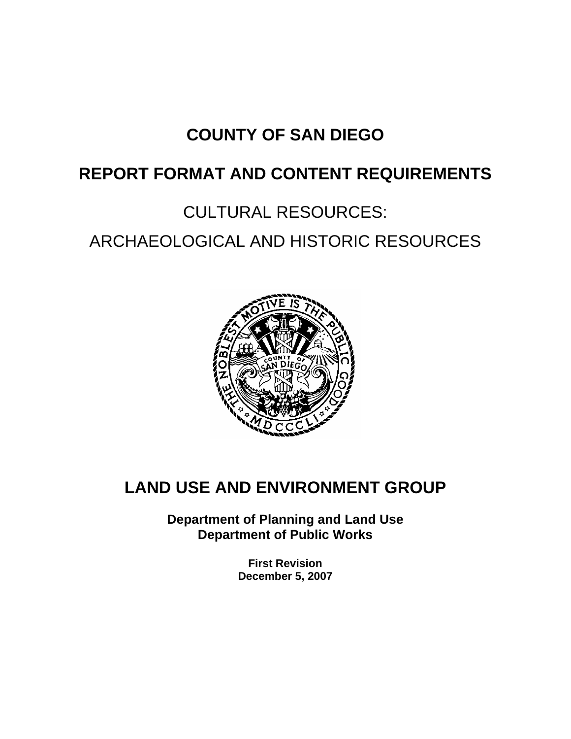# **COUNTY OF SAN DIEGO**

# **REPORT FORMAT AND CONTENT REQUIREMENTS**

# CULTURAL RESOURCES: ARCHAEOLOGICAL AND HISTORIC RESOURCES



# **LAND USE AND ENVIRONMENT GROUP**

**Department of Planning and Land Use Department of Public Works** 

> **First Revision December 5, 2007**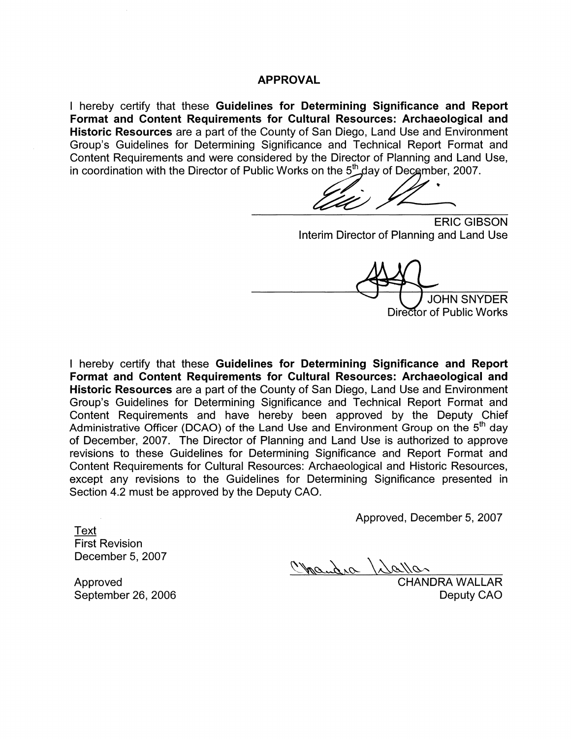#### **APPROVAL**

I hereby certify that these Guidelines for Determining Significance and Report Format and Content Requirements for Cultural Resources: Archaeological and Historic Resources are a part of the County of San Diego, Land Use and Environment Group's Guidelines for Determining Significance and Technical Report Format and Content Requirements and were considered by the Director of Planning and Land Use, in coordination with the Director of Public Works on the 5<sup>th</sup> day of December, 2007.

**ERIC GIBSON** Interim Director of Planning and Land Use

**JOHN SNYDER** Director of Public Works

I hereby certify that these Guidelines for Determining Significance and Report Format and Content Requirements for Cultural Resources: Archaeological and Historic Resources are a part of the County of San Diego, Land Use and Environment Group's Guidelines for Determining Significance and Technical Report Format and Content Requirements and have hereby been approved by the Deputy Chief Administrative Officer (DCAO) of the Land Use and Environment Group on the 5<sup>th</sup> day of December, 2007. The Director of Planning and Land Use is authorized to approve revisions to these Guidelines for Determining Significance and Report Format and Content Requirements for Cultural Resources: Archaeological and Historic Resources, except any revisions to the Guidelines for Determining Significance presented in Section 4.2 must be approved by the Deputy CAO.

Approved, December 5, 2007

Text **First Revision** December 5, 2007

Chandra / dallar

Approved September 26, 2006 **CHANDRA WALLAR** Deputy CAO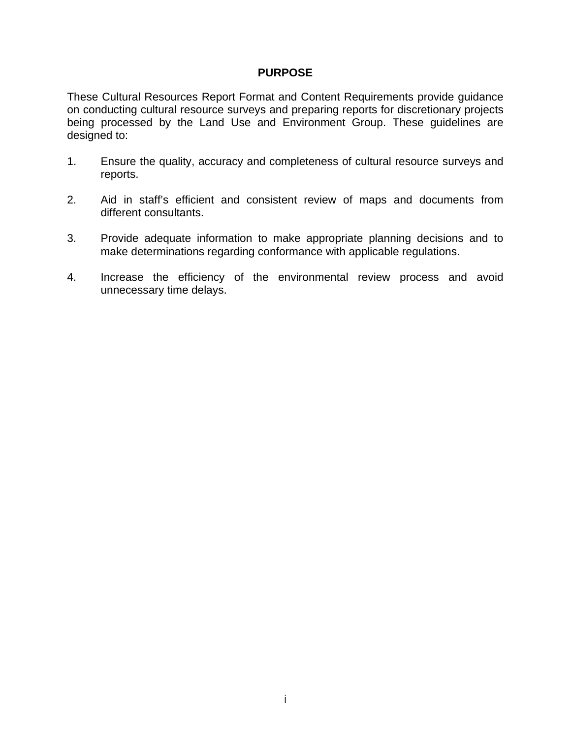#### **PURPOSE**

These Cultural Resources Report Format and Content Requirements provide guidance on conducting cultural resource surveys and preparing reports for discretionary projects being processed by the Land Use and Environment Group. These guidelines are designed to:

- 1. Ensure the quality, accuracy and completeness of cultural resource surveys and reports.
- 2. Aid in staff's efficient and consistent review of maps and documents from different consultants.
- 3. Provide adequate information to make appropriate planning decisions and to make determinations regarding conformance with applicable regulations.
- 4. Increase the efficiency of the environmental review process and avoid unnecessary time delays.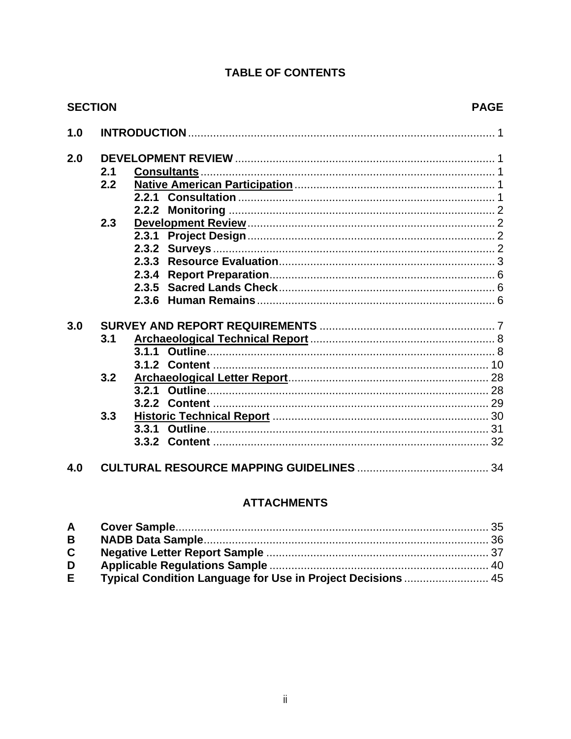## **TABLE OF CONTENTS**

|     | <b>SECTION</b> |       | <b>PAGE</b> |  |  |
|-----|----------------|-------|-------------|--|--|
| 1.0 |                |       |             |  |  |
| 2.0 |                |       |             |  |  |
|     | 2.1            |       |             |  |  |
|     | 2.2            |       |             |  |  |
|     |                |       |             |  |  |
|     |                |       |             |  |  |
|     | 2.3            |       |             |  |  |
|     |                | 2.3.1 |             |  |  |
|     |                |       |             |  |  |
|     |                |       |             |  |  |
|     |                |       |             |  |  |
|     |                |       |             |  |  |
|     |                | 2.3.6 |             |  |  |
| 3.0 |                |       |             |  |  |
|     | 3.1            |       |             |  |  |
|     |                |       |             |  |  |
|     |                |       |             |  |  |
|     | 3.2            |       |             |  |  |
|     |                | 3.2.1 |             |  |  |
|     |                |       |             |  |  |
|     | 3.3            |       |             |  |  |
|     |                | 3.3.1 |             |  |  |
|     |                |       |             |  |  |
|     |                |       |             |  |  |
| 4.0 |                |       |             |  |  |

## **ATTACHMENTS**

| $\mathbf{B}$ |                                                             |  |
|--------------|-------------------------------------------------------------|--|
| $\mathbf{C}$ |                                                             |  |
| D            |                                                             |  |
| E.           | Typical Condition Language for Use in Project Decisions  45 |  |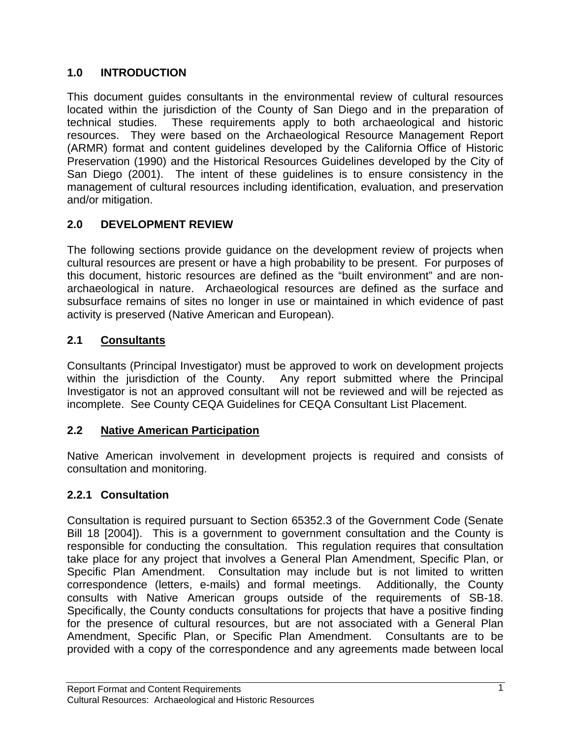## **1.0 INTRODUCTION**

This document guides consultants in the environmental review of cultural resources located within the jurisdiction of the County of San Diego and in the preparation of technical studies. These requirements apply to both archaeological and historic resources. They were based on the Archaeological Resource Management Report (ARMR) format and content guidelines developed by the California Office of Historic Preservation (1990) and the Historical Resources Guidelines developed by the City of San Diego (2001). The intent of these guidelines is to ensure consistency in the management of cultural resources including identification, evaluation, and preservation and/or mitigation.

## **2.0 DEVELOPMENT REVIEW**

The following sections provide guidance on the development review of projects when cultural resources are present or have a high probability to be present. For purposes of this document, historic resources are defined as the "built environment" and are nonarchaeological in nature. Archaeological resources are defined as the surface and subsurface remains of sites no longer in use or maintained in which evidence of past activity is preserved (Native American and European).

## **2.1 Consultants**

Consultants (Principal Investigator) must be approved to work on development projects within the jurisdiction of the County. Any report submitted where the Principal Investigator is not an approved consultant will not be reviewed and will be rejected as incomplete. See County CEQA Guidelines for CEQA Consultant List Placement.

## **2.2 Native American Participation**

Native American involvement in development projects is required and consists of consultation and monitoring.

## **2.2.1 Consultation**

Consultation is required pursuant to Section 65352.3 of the Government Code (Senate Bill 18 [2004]). This is a government to government consultation and the County is responsible for conducting the consultation. This regulation requires that consultation take place for any project that involves a General Plan Amendment, Specific Plan, or Specific Plan Amendment. Consultation may include but is not limited to written correspondence (letters, e-mails) and formal meetings. Additionally, the County consults with Native American groups outside of the requirements of SB-18. Specifically, the County conducts consultations for projects that have a positive finding for the presence of cultural resources, but are not associated with a General Plan Amendment, Specific Plan, or Specific Plan Amendment. Consultants are to be provided with a copy of the correspondence and any agreements made between local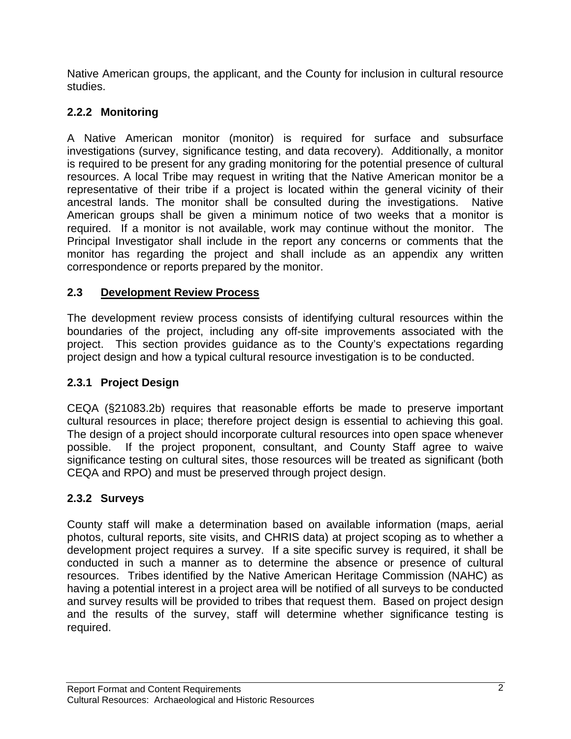Native American groups, the applicant, and the County for inclusion in cultural resource studies.

## **2.2.2 Monitoring**

A Native American monitor (monitor) is required for surface and subsurface investigations (survey, significance testing, and data recovery). Additionally, a monitor is required to be present for any grading monitoring for the potential presence of cultural resources. A local Tribe may request in writing that the Native American monitor be a representative of their tribe if a project is located within the general vicinity of their ancestral lands. The monitor shall be consulted during the investigations. Native American groups shall be given a minimum notice of two weeks that a monitor is required. If a monitor is not available, work may continue without the monitor. The Principal Investigator shall include in the report any concerns or comments that the monitor has regarding the project and shall include as an appendix any written correspondence or reports prepared by the monitor.

## **2.3 Development Review Process**

The development review process consists of identifying cultural resources within the boundaries of the project, including any off-site improvements associated with the project. This section provides guidance as to the County's expectations regarding project design and how a typical cultural resource investigation is to be conducted.

## **2.3.1 Project Design**

CEQA (§21083.2b) requires that reasonable efforts be made to preserve important cultural resources in place; therefore project design is essential to achieving this goal. The design of a project should incorporate cultural resources into open space whenever possible. If the project proponent, consultant, and County Staff agree to waive significance testing on cultural sites, those resources will be treated as significant (both CEQA and RPO) and must be preserved through project design.

## **2.3.2 Surveys**

County staff will make a determination based on available information (maps, aerial photos, cultural reports, site visits, and CHRIS data) at project scoping as to whether a development project requires a survey. If a site specific survey is required, it shall be conducted in such a manner as to determine the absence or presence of cultural resources. Tribes identified by the Native American Heritage Commission (NAHC) as having a potential interest in a project area will be notified of all surveys to be conducted and survey results will be provided to tribes that request them. Based on project design and the results of the survey, staff will determine whether significance testing is required.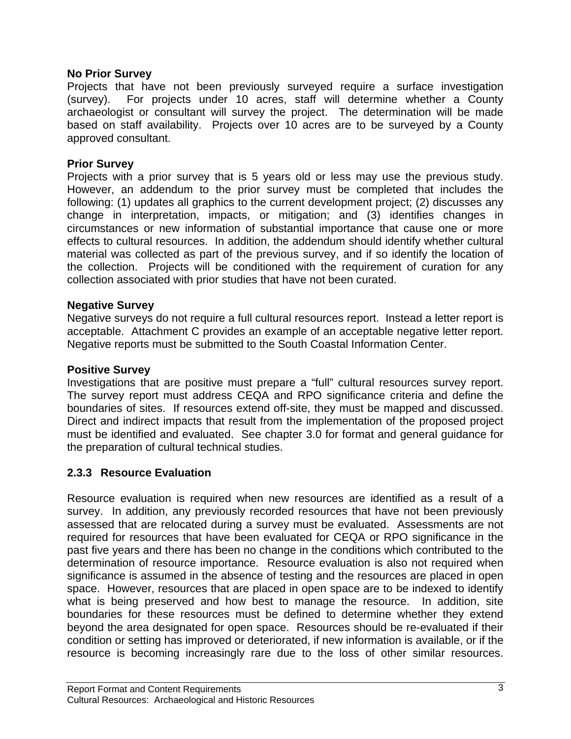#### **No Prior Survey**

Projects that have not been previously surveyed require a surface investigation (survey). For projects under 10 acres, staff will determine whether a County archaeologist or consultant will survey the project. The determination will be made based on staff availability. Projects over 10 acres are to be surveyed by a County approved consultant.

#### **Prior Survey**

Projects with a prior survey that is 5 years old or less may use the previous study. However, an addendum to the prior survey must be completed that includes the following: (1) updates all graphics to the current development project; (2) discusses any change in interpretation, impacts, or mitigation; and (3) identifies changes in circumstances or new information of substantial importance that cause one or more effects to cultural resources. In addition, the addendum should identify whether cultural material was collected as part of the previous survey, and if so identify the location of the collection. Projects will be conditioned with the requirement of curation for any collection associated with prior studies that have not been curated.

#### **Negative Survey**

Negative surveys do not require a full cultural resources report. Instead a letter report is acceptable. Attachment C provides an example of an acceptable negative letter report. Negative reports must be submitted to the South Coastal Information Center.

#### **Positive Survey**

Investigations that are positive must prepare a "full" cultural resources survey report. The survey report must address CEQA and RPO significance criteria and define the boundaries of sites. If resources extend off-site, they must be mapped and discussed. Direct and indirect impacts that result from the implementation of the proposed project must be identified and evaluated. See chapter 3.0 for format and general guidance for the preparation of cultural technical studies.

#### **2.3.3 Resource Evaluation**

Resource evaluation is required when new resources are identified as a result of a survey. In addition, any previously recorded resources that have not been previously assessed that are relocated during a survey must be evaluated. Assessments are not required for resources that have been evaluated for CEQA or RPO significance in the past five years and there has been no change in the conditions which contributed to the determination of resource importance. Resource evaluation is also not required when significance is assumed in the absence of testing and the resources are placed in open space. However, resources that are placed in open space are to be indexed to identify what is being preserved and how best to manage the resource. In addition, site boundaries for these resources must be defined to determine whether they extend beyond the area designated for open space. Resources should be re-evaluated if their condition or setting has improved or deteriorated, if new information is available, or if the resource is becoming increasingly rare due to the loss of other similar resources.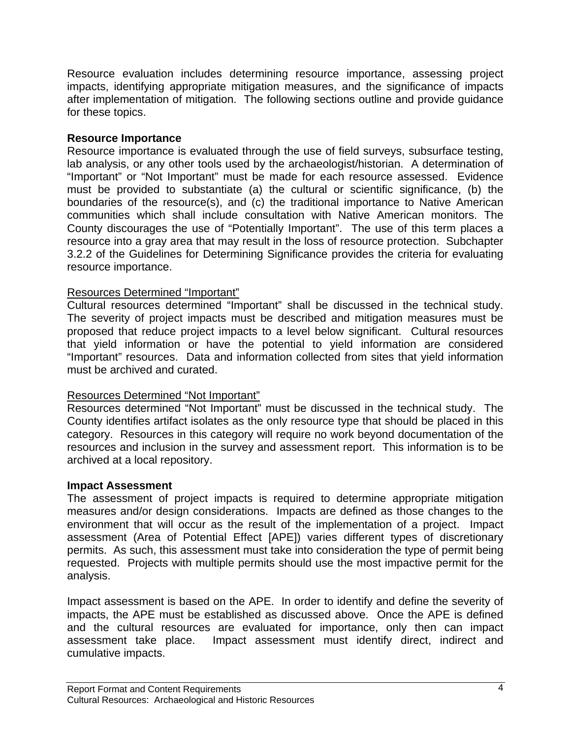Resource evaluation includes determining resource importance, assessing project impacts, identifying appropriate mitigation measures, and the significance of impacts after implementation of mitigation. The following sections outline and provide guidance for these topics.

#### **Resource Importance**

Resource importance is evaluated through the use of field surveys, subsurface testing, lab analysis, or any other tools used by the archaeologist/historian. A determination of "Important" or "Not Important" must be made for each resource assessed. Evidence must be provided to substantiate (a) the cultural or scientific significance, (b) the boundaries of the resource(s), and (c) the traditional importance to Native American communities which shall include consultation with Native American monitors. The County discourages the use of "Potentially Important". The use of this term places a resource into a gray area that may result in the loss of resource protection. Subchapter 3.2.2 of the Guidelines for Determining Significance provides the criteria for evaluating resource importance.

#### Resources Determined "Important"

Cultural resources determined "Important" shall be discussed in the technical study. The severity of project impacts must be described and mitigation measures must be proposed that reduce project impacts to a level below significant. Cultural resources that yield information or have the potential to yield information are considered "Important" resources. Data and information collected from sites that yield information must be archived and curated.

## Resources Determined "Not Important"

Resources determined "Not Important" must be discussed in the technical study. The County identifies artifact isolates as the only resource type that should be placed in this category. Resources in this category will require no work beyond documentation of the resources and inclusion in the survey and assessment report. This information is to be archived at a local repository.

#### **Impact Assessment**

The assessment of project impacts is required to determine appropriate mitigation measures and/or design considerations. Impacts are defined as those changes to the environment that will occur as the result of the implementation of a project. Impact assessment (Area of Potential Effect [APE]) varies different types of discretionary permits. As such, this assessment must take into consideration the type of permit being requested. Projects with multiple permits should use the most impactive permit for the analysis.

Impact assessment is based on the APE. In order to identify and define the severity of impacts, the APE must be established as discussed above. Once the APE is defined and the cultural resources are evaluated for importance, only then can impact assessment take place. Impact assessment must identify direct, indirect and cumulative impacts.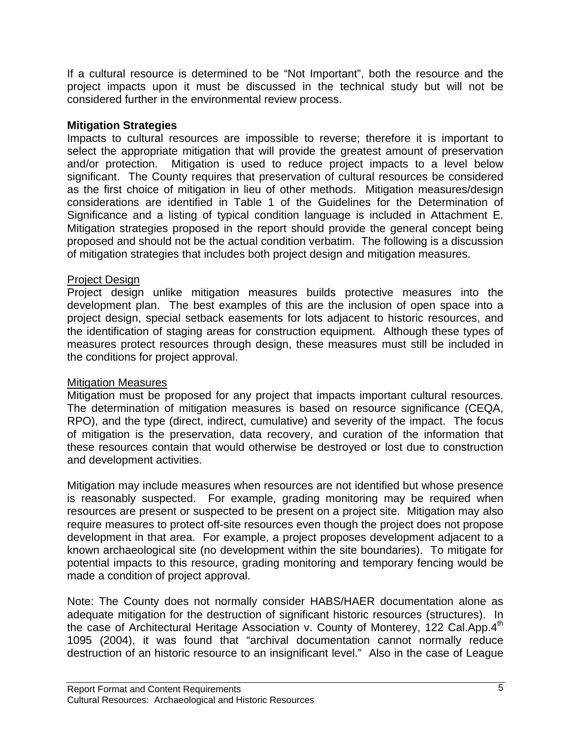If a cultural resource is determined to be "Not Important", both the resource and the project impacts upon it must be discussed in the technical study but will not be considered further in the environmental review process.

#### **Mitigation Strategies**

Impacts to cultural resources are impossible to reverse; therefore it is important to select the appropriate mitigation that will provide the greatest amount of preservation and/or protection. Mitigation is used to reduce project impacts to a level below significant. The County requires that preservation of cultural resources be considered as the first choice of mitigation in lieu of other methods. Mitigation measures/design considerations are identified in Table 1 of the Guidelines for the Determination of Significance and a listing of typical condition language is included in Attachment E. Mitigation strategies proposed in the report should provide the general concept being proposed and should not be the actual condition verbatim. The following is a discussion of mitigation strategies that includes both project design and mitigation measures.

#### Project Design

Project design unlike mitigation measures builds protective measures into the development plan. The best examples of this are the inclusion of open space into a project design, special setback easements for lots adjacent to historic resources, and the identification of staging areas for construction equipment. Although these types of measures protect resources through design, these measures must still be included in the conditions for project approval.

## Mitigation Measures

Mitigation must be proposed for any project that impacts important cultural resources. The determination of mitigation measures is based on resource significance (CEQA, RPO), and the type (direct, indirect, cumulative) and severity of the impact. The focus of mitigation is the preservation, data recovery, and curation of the information that these resources contain that would otherwise be destroyed or lost due to construction and development activities.

Mitigation may include measures when resources are not identified but whose presence is reasonably suspected. For example, grading monitoring may be required when resources are present or suspected to be present on a project site. Mitigation may also require measures to protect off-site resources even though the project does not propose development in that area. For example, a project proposes development adjacent to a known archaeological site (no development within the site boundaries). To mitigate for potential impacts to this resource, grading monitoring and temporary fencing would be made a condition of project approval.

Note: The County does not normally consider HABS/HAER documentation alone as adequate mitigation for the destruction of significant historic resources (structures). In the case of Architectural Heritage Association v. County of Monterey, 122 Cal.App.4<sup>th</sup> 1095 (2004), it was found that "archival documentation cannot normally reduce destruction of an historic resource to an insignificant level." Also in the case of League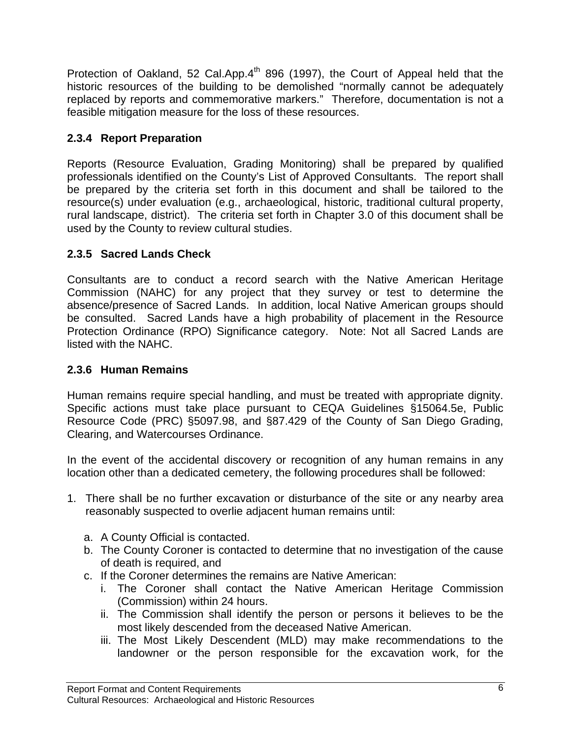Protection of Oakland, 52 Cal.App.4<sup>th</sup> 896 (1997), the Court of Appeal held that the historic resources of the building to be demolished "normally cannot be adequately replaced by reports and commemorative markers." Therefore, documentation is not a feasible mitigation measure for the loss of these resources.

## **2.3.4 Report Preparation**

Reports (Resource Evaluation, Grading Monitoring) shall be prepared by qualified professionals identified on the County's List of Approved Consultants. The report shall be prepared by the criteria set forth in this document and shall be tailored to the resource(s) under evaluation (e.g., archaeological, historic, traditional cultural property, rural landscape, district). The criteria set forth in Chapter 3.0 of this document shall be used by the County to review cultural studies.

## **2.3.5 Sacred Lands Check**

Consultants are to conduct a record search with the Native American Heritage Commission (NAHC) for any project that they survey or test to determine the absence/presence of Sacred Lands. In addition, local Native American groups should be consulted. Sacred Lands have a high probability of placement in the Resource Protection Ordinance (RPO) Significance category. Note: Not all Sacred Lands are listed with the NAHC.

## **2.3.6 Human Remains**

Human remains require special handling, and must be treated with appropriate dignity. Specific actions must take place pursuant to CEQA Guidelines §15064.5e, Public Resource Code (PRC) §5097.98, and §87.429 of the County of San Diego Grading, Clearing, and Watercourses Ordinance.

In the event of the accidental discovery or recognition of any human remains in any location other than a dedicated cemetery, the following procedures shall be followed:

- 1. There shall be no further excavation or disturbance of the site or any nearby area reasonably suspected to overlie adjacent human remains until:
	- a. A County Official is contacted.
	- b. The County Coroner is contacted to determine that no investigation of the cause of death is required, and
	- c. If the Coroner determines the remains are Native American:
		- i. The Coroner shall contact the Native American Heritage Commission (Commission) within 24 hours.
		- ii. The Commission shall identify the person or persons it believes to be the most likely descended from the deceased Native American.
		- iii. The Most Likely Descendent (MLD) may make recommendations to the landowner or the person responsible for the excavation work, for the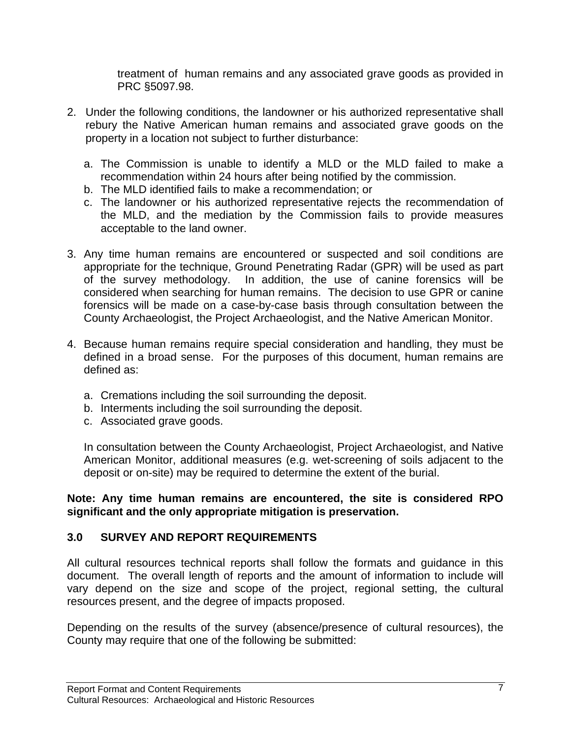treatment of human remains and any associated grave goods as provided in PRC §5097.98.

- 2. Under the following conditions, the landowner or his authorized representative shall rebury the Native American human remains and associated grave goods on the property in a location not subject to further disturbance:
	- a. The Commission is unable to identify a MLD or the MLD failed to make a recommendation within 24 hours after being notified by the commission.
	- b. The MLD identified fails to make a recommendation; or
	- c. The landowner or his authorized representative rejects the recommendation of the MLD, and the mediation by the Commission fails to provide measures acceptable to the land owner.
- 3. Any time human remains are encountered or suspected and soil conditions are appropriate for the technique, Ground Penetrating Radar (GPR) will be used as part of the survey methodology. In addition, the use of canine forensics will be considered when searching for human remains. The decision to use GPR or canine forensics will be made on a case-by-case basis through consultation between the County Archaeologist, the Project Archaeologist, and the Native American Monitor.
- 4. Because human remains require special consideration and handling, they must be defined in a broad sense. For the purposes of this document, human remains are defined as:
	- a. Cremations including the soil surrounding the deposit.
	- b. Interments including the soil surrounding the deposit.
	- c. Associated grave goods.

In consultation between the County Archaeologist, Project Archaeologist, and Native American Monitor, additional measures (e.g. wet-screening of soils adjacent to the deposit or on-site) may be required to determine the extent of the burial.

**Note: Any time human remains are encountered, the site is considered RPO significant and the only appropriate mitigation is preservation.**

## **3.0 SURVEY AND REPORT REQUIREMENTS**

All cultural resources technical reports shall follow the formats and guidance in this document. The overall length of reports and the amount of information to include will vary depend on the size and scope of the project, regional setting, the cultural resources present, and the degree of impacts proposed.

Depending on the results of the survey (absence/presence of cultural resources), the County may require that one of the following be submitted: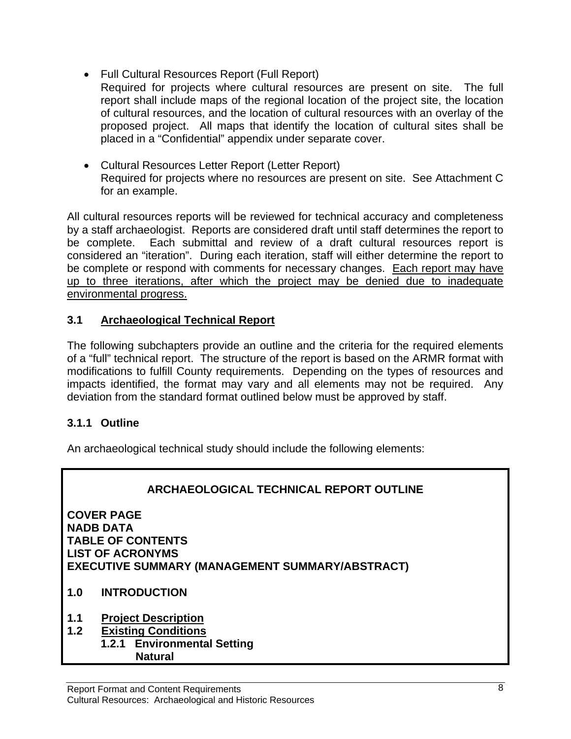- Full Cultural Resources Report (Full Report)
- Required for projects where cultural resources are present on site. The full report shall include maps of the regional location of the project site, the location of cultural resources, and the location of cultural resources with an overlay of the proposed project. All maps that identify the location of cultural sites shall be placed in a "Confidential" appendix under separate cover.
- Cultural Resources Letter Report (Letter Report) Required for projects where no resources are present on site. See Attachment C for an example.

All cultural resources reports will be reviewed for technical accuracy and completeness by a staff archaeologist. Reports are considered draft until staff determines the report to be complete. Each submittal and review of a draft cultural resources report is considered an "iteration". During each iteration, staff will either determine the report to be complete or respond with comments for necessary changes. Each report may have up to three iterations, after which the project may be denied due to inadequate environmental progress.

## **3.1 Archaeological Technical Report**

The following subchapters provide an outline and the criteria for the required elements of a "full" technical report. The structure of the report is based on the ARMR format with modifications to fulfill County requirements. Depending on the types of resources and impacts identified, the format may vary and all elements may not be required. Any deviation from the standard format outlined below must be approved by staff.

## **3.1.1 Outline**

An archaeological technical study should include the following elements:



- **1.0 INTRODUCTION**
- **1.1 Project Description**
- **1.2 Existing Conditions**
- **1.2.1 Environmental Setting Natural**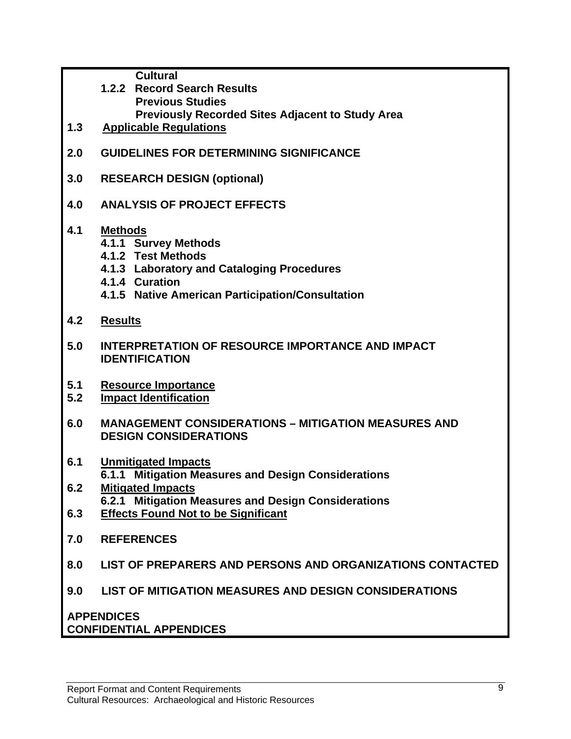**Cultural** 

- **1.2.2 Record Search Results Previous Studies Previously Recorded Sites Adjacent to Study Area**
- **1.3 Applicable Regulations**
- **2.0 GUIDELINES FOR DETERMINING SIGNIFICANCE**
- **3.0 RESEARCH DESIGN (optional)**
- **4.0 ANALYSIS OF PROJECT EFFECTS**

## **4.1 Methods**

- **4.1.1 Survey Methods**
- **4.1.2 Test Methods**
- **4.1.3 Laboratory and Cataloging Procedures**
- **4.1.4 Curation**
- **4.1.5 Native American Participation/Consultation**
- **4.2 Results**
- **5.0 INTERPRETATION OF RESOURCE IMPORTANCE AND IMPACT IDENTIFICATION**
- **5.1 Resource Importance**
- **5.2 Impact Identification**
- **6.0 MANAGEMENT CONSIDERATIONS MITIGATION MEASURES AND DESIGN CONSIDERATIONS**
- **6.1 Unmitigated Impacts 6.1.1 Mitigation Measures and Design Considerations**
- **6.2 Mitigated Impacts 6.2.1 Mitigation Measures and Design Considerations**
- **6.3 Effects Found Not to be Significant**
- **7.0 REFERENCES**
- **8.0 LIST OF PREPARERS AND PERSONS AND ORGANIZATIONS CONTACTED**
- **9.0 LIST OF MITIGATION MEASURES AND DESIGN CONSIDERATIONS**

**APPENDICES CONFIDENTIAL APPENDICES**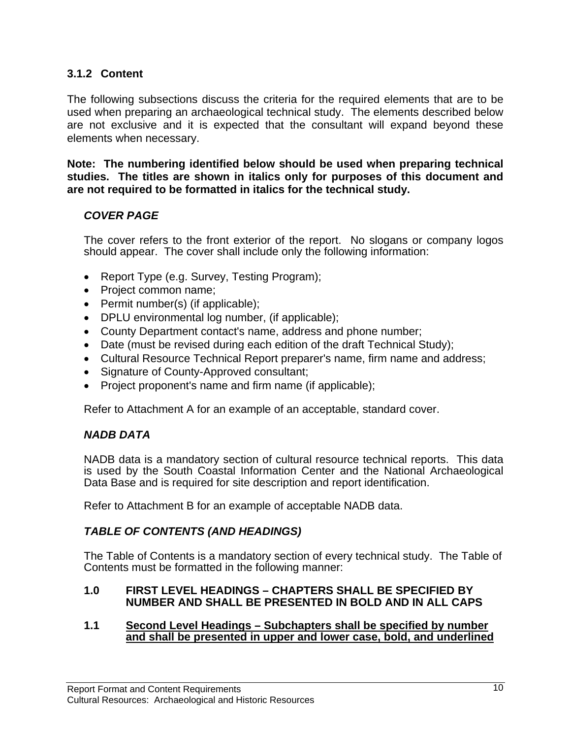## **3.1.2 Content**

The following subsections discuss the criteria for the required elements that are to be used when preparing an archaeological technical study. The elements described below are not exclusive and it is expected that the consultant will expand beyond these elements when necessary.

**Note: The numbering identified below should be used when preparing technical studies. The titles are shown in italics only for purposes of this document and are not required to be formatted in italics for the technical study.** 

## *COVER PAGE*

The cover refers to the front exterior of the report. No slogans or company logos should appear. The cover shall include only the following information:

- Report Type (e.g. Survey, Testing Program);
- Project common name;
- Permit number(s) (if applicable);
- DPLU environmental log number, (if applicable);
- County Department contact's name, address and phone number;
- Date (must be revised during each edition of the draft Technical Study);
- Cultural Resource Technical Report preparer's name, firm name and address;
- Signature of County-Approved consultant;
- Project proponent's name and firm name (if applicable);

Refer to Attachment A for an example of an acceptable, standard cover.

## *NADB DATA*

NADB data is a mandatory section of cultural resource technical reports. This data is used by the South Coastal Information Center and the National Archaeological Data Base and is required for site description and report identification.

Refer to Attachment B for an example of acceptable NADB data.

## *TABLE OF CONTENTS (AND HEADINGS)*

The Table of Contents is a mandatory section of every technical study. The Table of Contents must be formatted in the following manner:

#### **1.0 FIRST LEVEL HEADINGS – CHAPTERS SHALL BE SPECIFIED BY NUMBER AND SHALL BE PRESENTED IN BOLD AND IN ALL CAPS**

#### **1.1 Second Level Headings – Subchapters shall be specified by number and shall be presented in upper and lower case, bold, and underlined**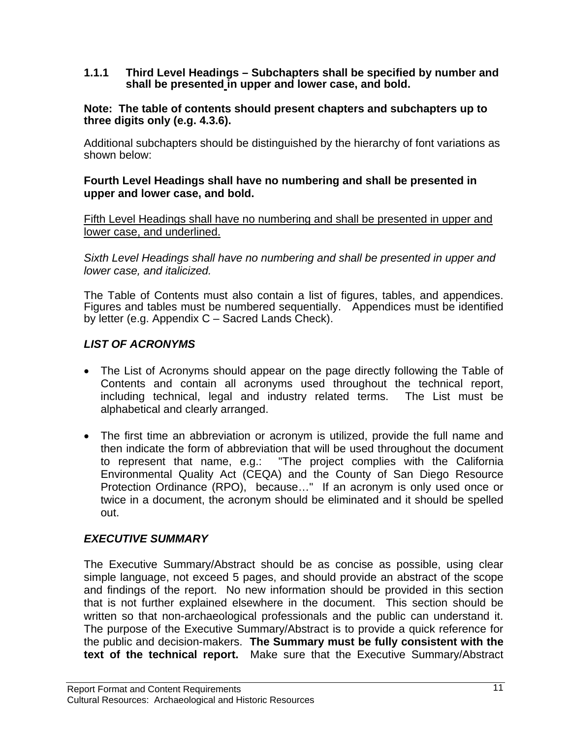**1.1.1 Third Level Headings – Subchapters shall be specified by number and shall be presented in upper and lower case, and bold.** 

#### **Note: The table of contents should present chapters and subchapters up to three digits only (e.g. 4.3.6).**

Additional subchapters should be distinguished by the hierarchy of font variations as shown below:

#### **Fourth Level Headings shall have no numbering and shall be presented in upper and lower case, and bold.**

Fifth Level Headings shall have no numbering and shall be presented in upper and lower case, and underlined.

*Sixth Level Headings shall have no numbering and shall be presented in upper and lower case, and italicized.* 

The Table of Contents must also contain a list of figures, tables, and appendices. Figures and tables must be numbered sequentially. Appendices must be identified by letter (e.g. Appendix C – Sacred Lands Check).

## *LIST OF ACRONYMS*

- The List of Acronyms should appear on the page directly following the Table of Contents and contain all acronyms used throughout the technical report, including technical, legal and industry related terms. The List must be alphabetical and clearly arranged.
- The first time an abbreviation or acronym is utilized, provide the full name and then indicate the form of abbreviation that will be used throughout the document to represent that name, e.g.: "The project complies with the California Environmental Quality Act (CEQA) and the County of San Diego Resource Protection Ordinance (RPO), because…" If an acronym is only used once or twice in a document, the acronym should be eliminated and it should be spelled out.

## *EXECUTIVE SUMMARY*

The Executive Summary/Abstract should be as concise as possible, using clear simple language, not exceed 5 pages, and should provide an abstract of the scope and findings of the report. No new information should be provided in this section that is not further explained elsewhere in the document. This section should be written so that non-archaeological professionals and the public can understand it. The purpose of the Executive Summary/Abstract is to provide a quick reference for the public and decision-makers. **The Summary must be fully consistent with the text of the technical report.** Make sure that the Executive Summary/Abstract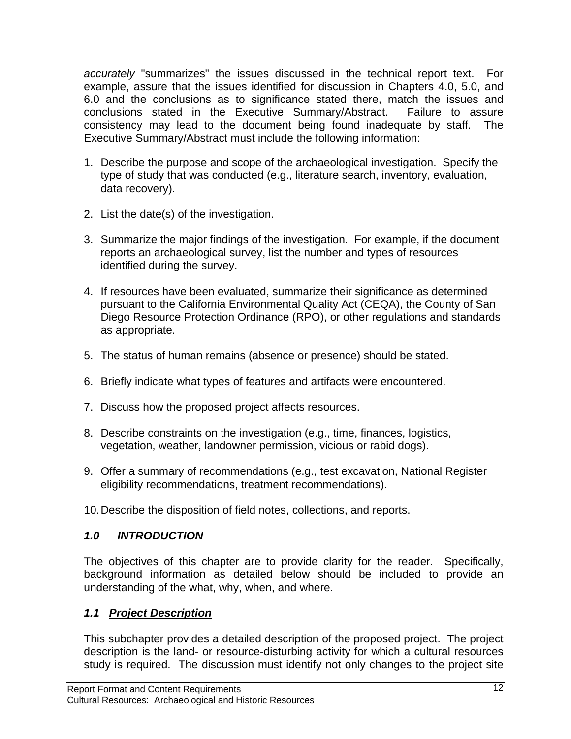*accurately* "summarizes" the issues discussed in the technical report text. For example, assure that the issues identified for discussion in Chapters 4.0, 5.0, and 6.0 and the conclusions as to significance stated there, match the issues and conclusions stated in the Executive Summary/Abstract. Failure to assure consistency may lead to the document being found inadequate by staff. The Executive Summary/Abstract must include the following information:

- 1. Describe the purpose and scope of the archaeological investigation. Specify the type of study that was conducted (e.g., literature search, inventory, evaluation, data recovery).
- 2. List the date(s) of the investigation.
- 3. Summarize the major findings of the investigation. For example, if the document reports an archaeological survey, list the number and types of resources identified during the survey.
- 4. If resources have been evaluated, summarize their significance as determined pursuant to the California Environmental Quality Act (CEQA), the County of San Diego Resource Protection Ordinance (RPO), or other regulations and standards as appropriate.
- 5. The status of human remains (absence or presence) should be stated.
- 6. Briefly indicate what types of features and artifacts were encountered.
- 7. Discuss how the proposed project affects resources.
- 8. Describe constraints on the investigation (e.g., time, finances, logistics, vegetation, weather, landowner permission, vicious or rabid dogs).
- 9. Offer a summary of recommendations (e.g., test excavation, National Register eligibility recommendations, treatment recommendations).
- 10. Describe the disposition of field notes, collections, and reports.

## *1.0 INTRODUCTION*

The objectives of this chapter are to provide clarity for the reader. Specifically, background information as detailed below should be included to provide an understanding of the what, why, when, and where.

## *1.1 Project Description*

This subchapter provides a detailed description of the proposed project. The project description is the land- or resource-disturbing activity for which a cultural resources study is required. The discussion must identify not only changes to the project site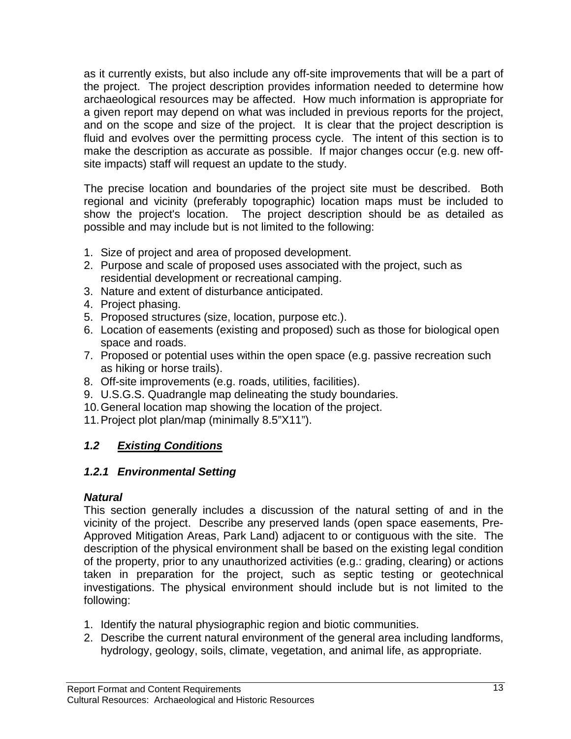as it currently exists, but also include any off-site improvements that will be a part of the project. The project description provides information needed to determine how archaeological resources may be affected. How much information is appropriate for a given report may depend on what was included in previous reports for the project, and on the scope and size of the project. It is clear that the project description is fluid and evolves over the permitting process cycle. The intent of this section is to make the description as accurate as possible. If major changes occur (e.g. new offsite impacts) staff will request an update to the study.

The precise location and boundaries of the project site must be described. Both regional and vicinity (preferably topographic) location maps must be included to show the project's location. The project description should be as detailed as possible and may include but is not limited to the following:

- 1. Size of project and area of proposed development.
- 2. Purpose and scale of proposed uses associated with the project, such as residential development or recreational camping.
- 3. Nature and extent of disturbance anticipated.
- 4. Project phasing.
- 5. Proposed structures (size, location, purpose etc.).
- 6. Location of easements (existing and proposed) such as those for biological open space and roads.
- 7. Proposed or potential uses within the open space (e.g. passive recreation such as hiking or horse trails).
- 8. Off-site improvements (e.g. roads, utilities, facilities).
- 9. U.S.G.S. Quadrangle map delineating the study boundaries.
- 10. General location map showing the location of the project.
- 11. Project plot plan/map (minimally 8.5"X11").

## *1.2 Existing Conditions*

## *1.2.1 Environmental Setting*

## *Natural*

This section generally includes a discussion of the natural setting of and in the vicinity of the project. Describe any preserved lands (open space easements, Pre-Approved Mitigation Areas, Park Land) adjacent to or contiguous with the site. The description of the physical environment shall be based on the existing legal condition of the property, prior to any unauthorized activities (e.g.: grading, clearing) or actions taken in preparation for the project, such as septic testing or geotechnical investigations. The physical environment should include but is not limited to the following:

- 1. Identify the natural physiographic region and biotic communities.
- 2. Describe the current natural environment of the general area including landforms, hydrology, geology, soils, climate, vegetation, and animal life, as appropriate.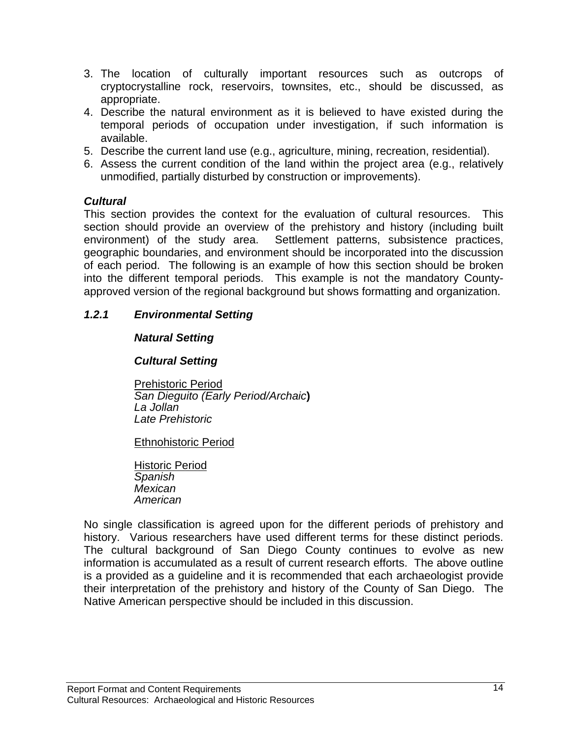- 3. The location of culturally important resources such as outcrops of cryptocrystalline rock, reservoirs, townsites, etc., should be discussed, as appropriate.
- 4. Describe the natural environment as it is believed to have existed during the temporal periods of occupation under investigation, if such information is available.
- 5. Describe the current land use (e.g., agriculture, mining, recreation, residential).
- 6. Assess the current condition of the land within the project area (e.g., relatively unmodified, partially disturbed by construction or improvements).

#### *Cultural*

This section provides the context for the evaluation of cultural resources. This section should provide an overview of the prehistory and history (including built environment) of the study area. Settlement patterns, subsistence practices, geographic boundaries, and environment should be incorporated into the discussion of each period. The following is an example of how this section should be broken into the different temporal periods. This example is not the mandatory Countyapproved version of the regional background but shows formatting and organization.

## *1.2.1 Environmental Setting*

#### *Natural Setting*

#### *Cultural Setting*

Prehistoric Period *San Dieguito (Early Period/Archaic***)**  *La Jollan Late Prehistoric* 

#### Ethnohistoric Period

Historic Period *Spanish Mexican American* 

No single classification is agreed upon for the different periods of prehistory and history. Various researchers have used different terms for these distinct periods. The cultural background of San Diego County continues to evolve as new information is accumulated as a result of current research efforts. The above outline is a provided as a guideline and it is recommended that each archaeologist provide their interpretation of the prehistory and history of the County of San Diego. The Native American perspective should be included in this discussion.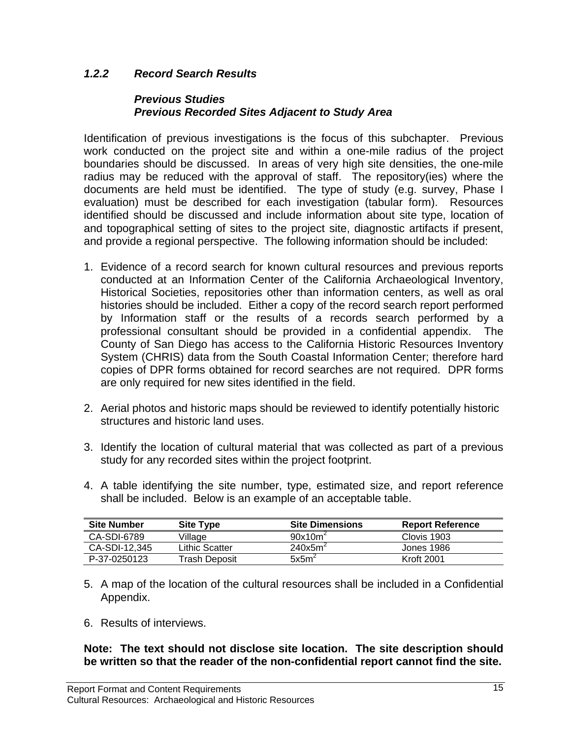## *1.2.2 Record Search Results*

#### *Previous Studies Previous Recorded Sites Adjacent to Study Area*

Identification of previous investigations is the focus of this subchapter. Previous work conducted on the project site and within a one-mile radius of the project boundaries should be discussed. In areas of very high site densities, the one-mile radius may be reduced with the approval of staff. The repository(ies) where the documents are held must be identified. The type of study (e.g. survey, Phase I evaluation) must be described for each investigation (tabular form). Resources identified should be discussed and include information about site type, location of and topographical setting of sites to the project site, diagnostic artifacts if present, and provide a regional perspective. The following information should be included:

- 1. Evidence of a record search for known cultural resources and previous reports conducted at an Information Center of the California Archaeological Inventory, Historical Societies, repositories other than information centers, as well as oral histories should be included. Either a copy of the record search report performed by Information staff or the results of a records search performed by a professional consultant should be provided in a confidential appendix. The County of San Diego has access to the California Historic Resources Inventory System (CHRIS) data from the South Coastal Information Center; therefore hard copies of DPR forms obtained for record searches are not required. DPR forms are only required for new sites identified in the field.
- 2. Aerial photos and historic maps should be reviewed to identify potentially historic structures and historic land uses.
- 3. Identify the location of cultural material that was collected as part of a previous study for any recorded sites within the project footprint.
- 4. A table identifying the site number, type, estimated size, and report reference shall be included. Below is an example of an acceptable table.

| <b>Site Number</b> | <b>Site Type</b> | <b>Site Dimensions</b> | <b>Report Reference</b> |
|--------------------|------------------|------------------------|-------------------------|
| CA-SDI-6789        | Village          | 90x10m <sup>2</sup>    | Clovis 1903             |
| CA-SDI-12.345      | Lithic Scatter   | 240x5m <sup>2</sup>    | Jones 1986              |
| P-37-0250123       | Trash Deposit    | $5x5m^2$               | <b>Kroft 2001</b>       |

- 5. A map of the location of the cultural resources shall be included in a Confidential Appendix.
- 6. Results of interviews.

**Note: The text should not disclose site location. The site description should be written so that the reader of the non-confidential report cannot find the site.**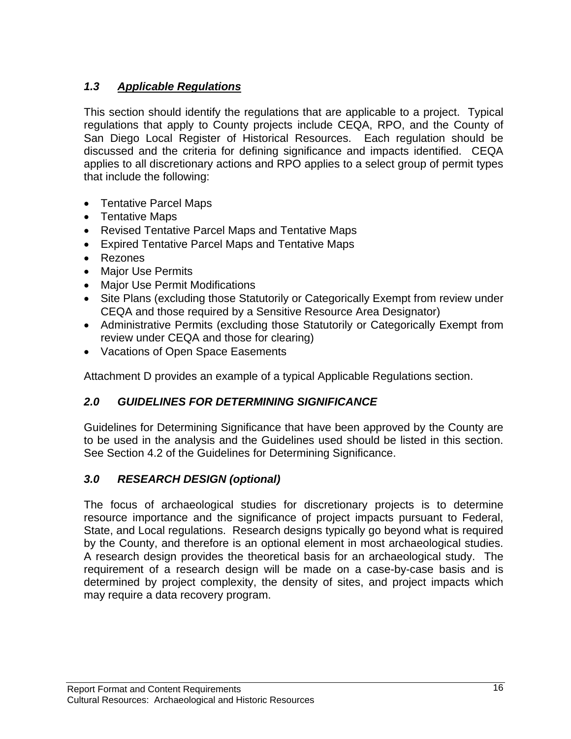## *1.3 Applicable Regulations*

This section should identify the regulations that are applicable to a project. Typical regulations that apply to County projects include CEQA, RPO, and the County of San Diego Local Register of Historical Resources. Each regulation should be discussed and the criteria for defining significance and impacts identified. CEQA applies to all discretionary actions and RPO applies to a select group of permit types that include the following:

- Tentative Parcel Maps
- Tentative Maps
- Revised Tentative Parcel Maps and Tentative Maps
- Expired Tentative Parcel Maps and Tentative Maps
- Rezones
- Major Use Permits
- Major Use Permit Modifications
- Site Plans (excluding those Statutorily or Categorically Exempt from review under CEQA and those required by a Sensitive Resource Area Designator)
- Administrative Permits (excluding those Statutorily or Categorically Exempt from review under CEQA and those for clearing)
- Vacations of Open Space Easements

Attachment D provides an example of a typical Applicable Regulations section.

## *2.0 GUIDELINES FOR DETERMINING SIGNIFICANCE*

Guidelines for Determining Significance that have been approved by the County are to be used in the analysis and the Guidelines used should be listed in this section. See Section 4.2 of the Guidelines for Determining Significance.

## *3.0 RESEARCH DESIGN (optional)*

The focus of archaeological studies for discretionary projects is to determine resource importance and the significance of project impacts pursuant to Federal, State, and Local regulations. Research designs typically go beyond what is required by the County, and therefore is an optional element in most archaeological studies. A research design provides the theoretical basis for an archaeological study. The requirement of a research design will be made on a case-by-case basis and is determined by project complexity, the density of sites, and project impacts which may require a data recovery program.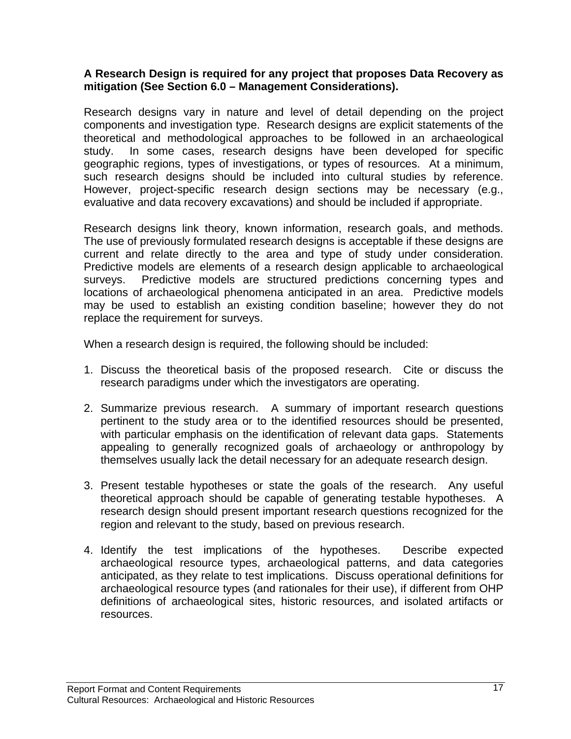#### **A Research Design is required for any project that proposes Data Recovery as mitigation (See Section 6.0 – Management Considerations).**

Research designs vary in nature and level of detail depending on the project components and investigation type. Research designs are explicit statements of the theoretical and methodological approaches to be followed in an archaeological study. In some cases, research designs have been developed for specific geographic regions, types of investigations, or types of resources. At a minimum, such research designs should be included into cultural studies by reference. However, project-specific research design sections may be necessary (e.g., evaluative and data recovery excavations) and should be included if appropriate.

Research designs link theory, known information, research goals, and methods. The use of previously formulated research designs is acceptable if these designs are current and relate directly to the area and type of study under consideration. Predictive models are elements of a research design applicable to archaeological surveys. Predictive models are structured predictions concerning types and locations of archaeological phenomena anticipated in an area. Predictive models may be used to establish an existing condition baseline; however they do not replace the requirement for surveys.

When a research design is required, the following should be included:

- 1. Discuss the theoretical basis of the proposed research. Cite or discuss the research paradigms under which the investigators are operating.
- 2. Summarize previous research. A summary of important research questions pertinent to the study area or to the identified resources should be presented, with particular emphasis on the identification of relevant data gaps. Statements appealing to generally recognized goals of archaeology or anthropology by themselves usually lack the detail necessary for an adequate research design.
- 3. Present testable hypotheses or state the goals of the research. Any useful theoretical approach should be capable of generating testable hypotheses. A research design should present important research questions recognized for the region and relevant to the study, based on previous research.
- 4. Identify the test implications of the hypotheses. Describe expected archaeological resource types, archaeological patterns, and data categories anticipated, as they relate to test implications. Discuss operational definitions for archaeological resource types (and rationales for their use), if different from OHP definitions of archaeological sites, historic resources, and isolated artifacts or resources.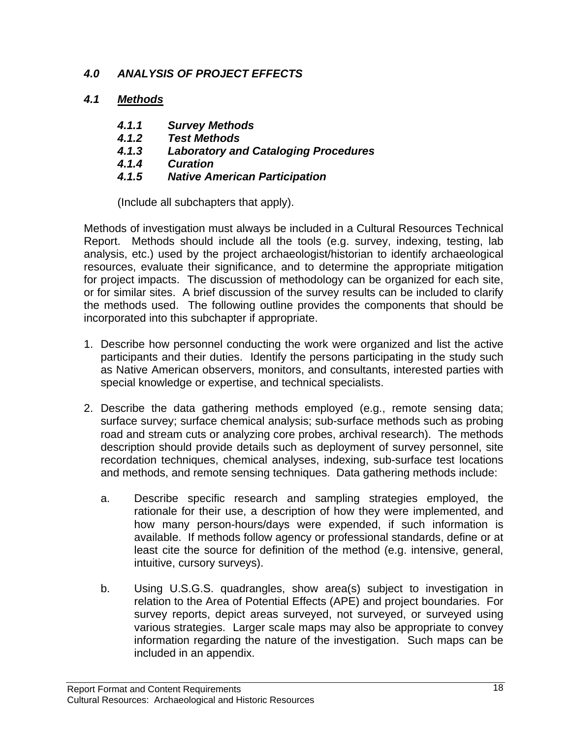## *4.0 ANALYSIS OF PROJECT EFFECTS*

## *4.1 Methods*

- *4.1.1 Survey Methods*
- *4.1.2 Test Methods*
- *4.1.3 Laboratory and Cataloging Procedures*
- *4.1.4 Curation*
- *4.1.5 Native American Participation*

(Include all subchapters that apply).

Methods of investigation must always be included in a Cultural Resources Technical Report. Methods should include all the tools (e.g. survey, indexing, testing, lab analysis, etc.) used by the project archaeologist/historian to identify archaeological resources, evaluate their significance, and to determine the appropriate mitigation for project impacts. The discussion of methodology can be organized for each site, or for similar sites. A brief discussion of the survey results can be included to clarify the methods used. The following outline provides the components that should be incorporated into this subchapter if appropriate.

- 1. Describe how personnel conducting the work were organized and list the active participants and their duties. Identify the persons participating in the study such as Native American observers, monitors, and consultants, interested parties with special knowledge or expertise, and technical specialists.
- 2. Describe the data gathering methods employed (e.g., remote sensing data; surface survey; surface chemical analysis; sub-surface methods such as probing road and stream cuts or analyzing core probes, archival research). The methods description should provide details such as deployment of survey personnel, site recordation techniques, chemical analyses, indexing, sub-surface test locations and methods, and remote sensing techniques. Data gathering methods include:
	- a. Describe specific research and sampling strategies employed, the rationale for their use, a description of how they were implemented, and how many person-hours/days were expended, if such information is available. If methods follow agency or professional standards, define or at least cite the source for definition of the method (e.g. intensive, general, intuitive, cursory surveys).
	- b. Using U.S.G.S. quadrangles, show area(s) subject to investigation in relation to the Area of Potential Effects (APE) and project boundaries. For survey reports, depict areas surveyed, not surveyed, or surveyed using various strategies. Larger scale maps may also be appropriate to convey information regarding the nature of the investigation. Such maps can be included in an appendix.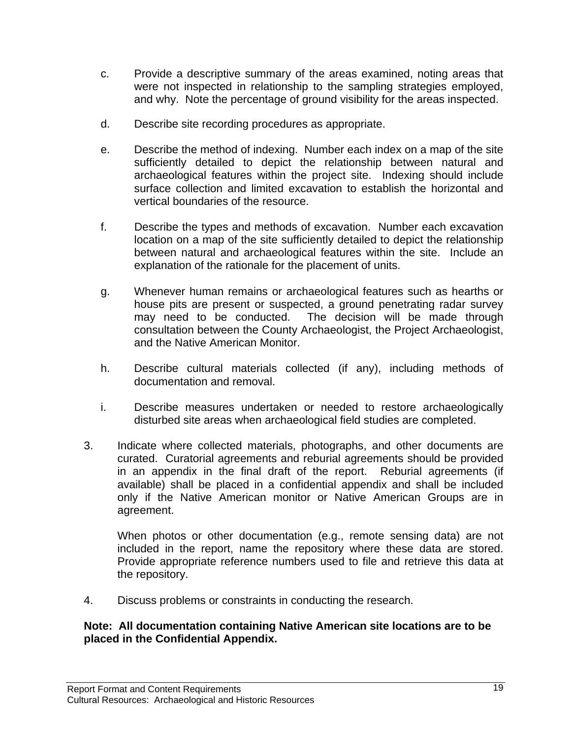- c. Provide a descriptive summary of the areas examined, noting areas that were not inspected in relationship to the sampling strategies employed, and why. Note the percentage of ground visibility for the areas inspected.
- d. Describe site recording procedures as appropriate.
- e. Describe the method of indexing. Number each index on a map of the site sufficiently detailed to depict the relationship between natural and archaeological features within the project site. Indexing should include surface collection and limited excavation to establish the horizontal and vertical boundaries of the resource.
- f. Describe the types and methods of excavation. Number each excavation location on a map of the site sufficiently detailed to depict the relationship between natural and archaeological features within the site. Include an explanation of the rationale for the placement of units.
- g. Whenever human remains or archaeological features such as hearths or house pits are present or suspected, a ground penetrating radar survey may need to be conducted. The decision will be made through consultation between the County Archaeologist, the Project Archaeologist, and the Native American Monitor.
- h. Describe cultural materials collected (if any), including methods of documentation and removal.
- i. Describe measures undertaken or needed to restore archaeologically disturbed site areas when archaeological field studies are completed.
- 3. Indicate where collected materials, photographs, and other documents are curated. Curatorial agreements and reburial agreements should be provided in an appendix in the final draft of the report. Reburial agreements (if available) shall be placed in a confidential appendix and shall be included only if the Native American monitor or Native American Groups are in agreement.

When photos or other documentation (e.g., remote sensing data) are not included in the report, name the repository where these data are stored. Provide appropriate reference numbers used to file and retrieve this data at the repository.

4. Discuss problems or constraints in conducting the research.

#### **Note: All documentation containing Native American site locations are to be placed in the Confidential Appendix.**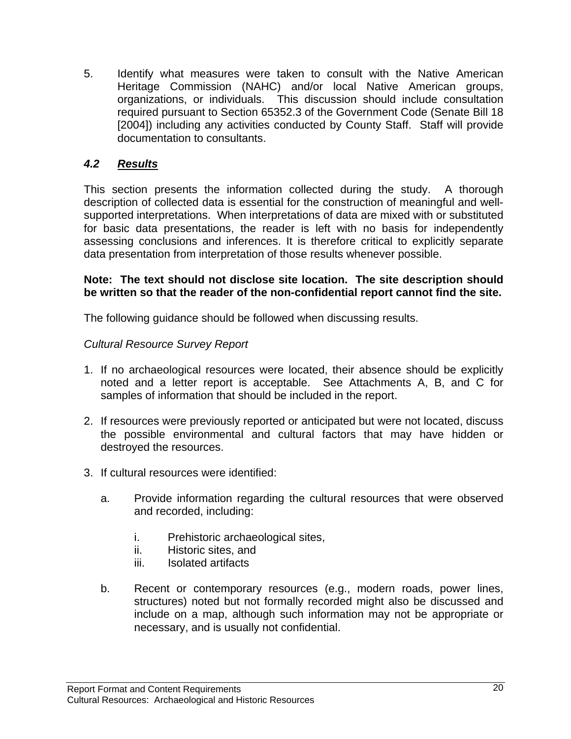5. Identify what measures were taken to consult with the Native American Heritage Commission (NAHC) and/or local Native American groups, organizations, or individuals. This discussion should include consultation required pursuant to Section 65352.3 of the Government Code (Senate Bill 18 [2004]) including any activities conducted by County Staff. Staff will provide documentation to consultants.

## *4.2 Results*

This section presents the information collected during the study. A thorough description of collected data is essential for the construction of meaningful and wellsupported interpretations. When interpretations of data are mixed with or substituted for basic data presentations, the reader is left with no basis for independently assessing conclusions and inferences. It is therefore critical to explicitly separate data presentation from interpretation of those results whenever possible.

#### **Note: The text should not disclose site location. The site description should be written so that the reader of the non-confidential report cannot find the site.**

The following guidance should be followed when discussing results.

## *Cultural Resource Survey Report*

- 1. If no archaeological resources were located, their absence should be explicitly noted and a letter report is acceptable. See Attachments A, B, and C for samples of information that should be included in the report.
- 2. If resources were previously reported or anticipated but were not located, discuss the possible environmental and cultural factors that may have hidden or destroyed the resources.
- 3. If cultural resources were identified:
	- a. Provide information regarding the cultural resources that were observed and recorded, including:
		- i. Prehistoric archaeological sites,
		- ii. Historic sites, and
		- iii. Isolated artifacts
	- b. Recent or contemporary resources (e.g., modern roads, power lines, structures) noted but not formally recorded might also be discussed and include on a map, although such information may not be appropriate or necessary, and is usually not confidential.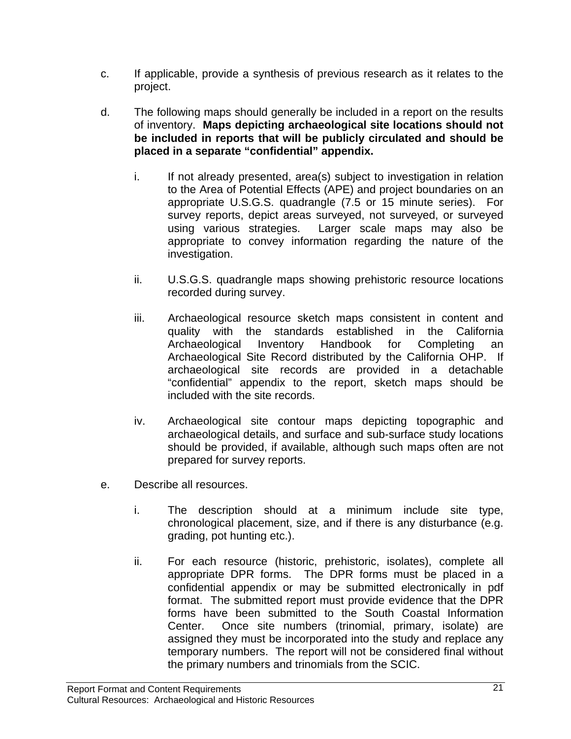- c. If applicable, provide a synthesis of previous research as it relates to the project.
- d. The following maps should generally be included in a report on the results of inventory. **Maps depicting archaeological site locations should not be included in reports that will be publicly circulated and should be placed in a separate "confidential" appendix.**
	- i. If not already presented, area(s) subject to investigation in relation to the Area of Potential Effects (APE) and project boundaries on an appropriate U.S.G.S. quadrangle (7.5 or 15 minute series). For survey reports, depict areas surveyed, not surveyed, or surveyed using various strategies. Larger scale maps may also be appropriate to convey information regarding the nature of the investigation.
	- ii. U.S.G.S. quadrangle maps showing prehistoric resource locations recorded during survey.
	- iii. Archaeological resource sketch maps consistent in content and quality with the standards established in the California Archaeological Inventory Handbook for Completing an Archaeological Site Record distributed by the California OHP. If archaeological site records are provided in a detachable "confidential" appendix to the report, sketch maps should be included with the site records.
	- iv. Archaeological site contour maps depicting topographic and archaeological details, and surface and sub-surface study locations should be provided, if available, although such maps often are not prepared for survey reports.
- e. Describe all resources.
	- i. The description should at a minimum include site type, chronological placement, size, and if there is any disturbance (e.g. grading, pot hunting etc.).
	- ii. For each resource (historic, prehistoric, isolates), complete all appropriate DPR forms. The DPR forms must be placed in a confidential appendix or may be submitted electronically in pdf format. The submitted report must provide evidence that the DPR forms have been submitted to the South Coastal Information Center. Once site numbers (trinomial, primary, isolate) are assigned they must be incorporated into the study and replace any temporary numbers. The report will not be considered final without the primary numbers and trinomials from the SCIC.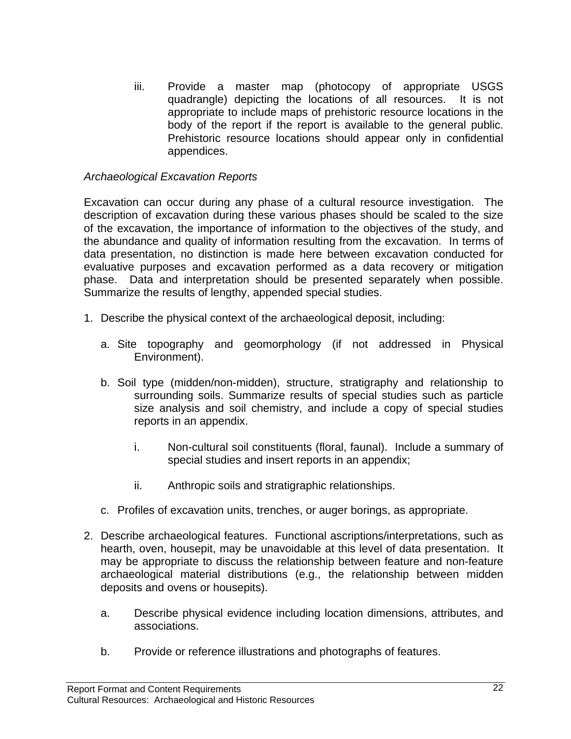iii. Provide a master map (photocopy of appropriate USGS quadrangle) depicting the locations of all resources. It is not appropriate to include maps of prehistoric resource locations in the body of the report if the report is available to the general public. Prehistoric resource locations should appear only in confidential appendices.

#### *Archaeological Excavation Reports*

Excavation can occur during any phase of a cultural resource investigation. The description of excavation during these various phases should be scaled to the size of the excavation, the importance of information to the objectives of the study, and the abundance and quality of information resulting from the excavation. In terms of data presentation, no distinction is made here between excavation conducted for evaluative purposes and excavation performed as a data recovery or mitigation phase. Data and interpretation should be presented separately when possible. Summarize the results of lengthy, appended special studies.

- 1. Describe the physical context of the archaeological deposit, including:
	- a. Site topography and geomorphology (if not addressed in Physical Environment).
	- b. Soil type (midden/non-midden), structure, stratigraphy and relationship to surrounding soils. Summarize results of special studies such as particle size analysis and soil chemistry, and include a copy of special studies reports in an appendix.
		- i. Non-cultural soil constituents (floral, faunal). Include a summary of special studies and insert reports in an appendix;
		- ii. Anthropic soils and stratigraphic relationships.
	- c. Profiles of excavation units, trenches, or auger borings, as appropriate.
- 2. Describe archaeological features. Functional ascriptions/interpretations, such as hearth, oven, housepit, may be unavoidable at this level of data presentation. It may be appropriate to discuss the relationship between feature and non-feature archaeological material distributions (e.g., the relationship between midden deposits and ovens or housepits).
	- a. Describe physical evidence including location dimensions, attributes, and associations.
	- b. Provide or reference illustrations and photographs of features.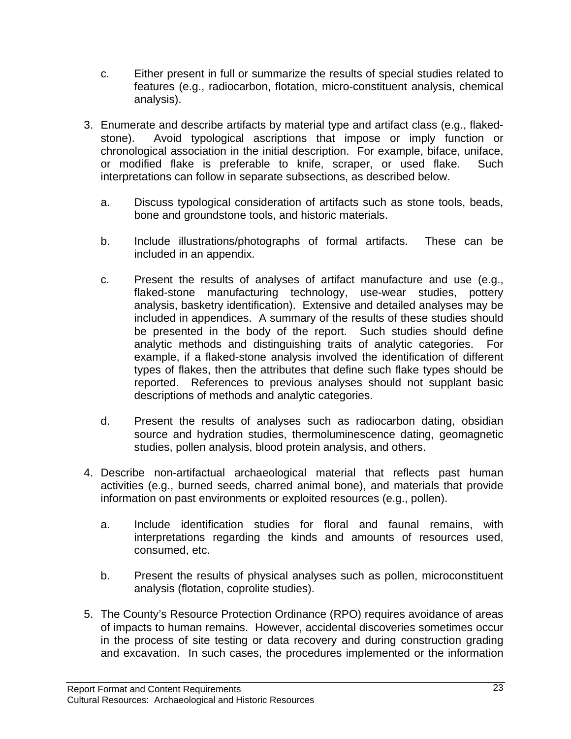- c. Either present in full or summarize the results of special studies related to features (e.g., radiocarbon, flotation, micro-constituent analysis, chemical analysis).
- 3. Enumerate and describe artifacts by material type and artifact class (e.g., flakedstone). Avoid typological ascriptions that impose or imply function or chronological association in the initial description. For example, biface, uniface, or modified flake is preferable to knife, scraper, or used flake. Such interpretations can follow in separate subsections, as described below.
	- a. Discuss typological consideration of artifacts such as stone tools, beads, bone and groundstone tools, and historic materials.
	- b. Include illustrations/photographs of formal artifacts. These can be included in an appendix.
	- c. Present the results of analyses of artifact manufacture and use (e.g., flaked-stone manufacturing technology, use-wear studies, pottery analysis, basketry identification). Extensive and detailed analyses may be included in appendices. A summary of the results of these studies should be presented in the body of the report. Such studies should define analytic methods and distinguishing traits of analytic categories. For example, if a flaked-stone analysis involved the identification of different types of flakes, then the attributes that define such flake types should be reported. References to previous analyses should not supplant basic descriptions of methods and analytic categories.
	- d. Present the results of analyses such as radiocarbon dating, obsidian source and hydration studies, thermoluminescence dating, geomagnetic studies, pollen analysis, blood protein analysis, and others.
- 4. Describe non-artifactual archaeological material that reflects past human activities (e.g., burned seeds, charred animal bone), and materials that provide information on past environments or exploited resources (e.g., pollen).
	- a. Include identification studies for floral and faunal remains, with interpretations regarding the kinds and amounts of resources used, consumed, etc.
	- b. Present the results of physical analyses such as pollen, microconstituent analysis (flotation, coprolite studies).
- 5. The County's Resource Protection Ordinance (RPO) requires avoidance of areas of impacts to human remains. However, accidental discoveries sometimes occur in the process of site testing or data recovery and during construction grading and excavation. In such cases, the procedures implemented or the information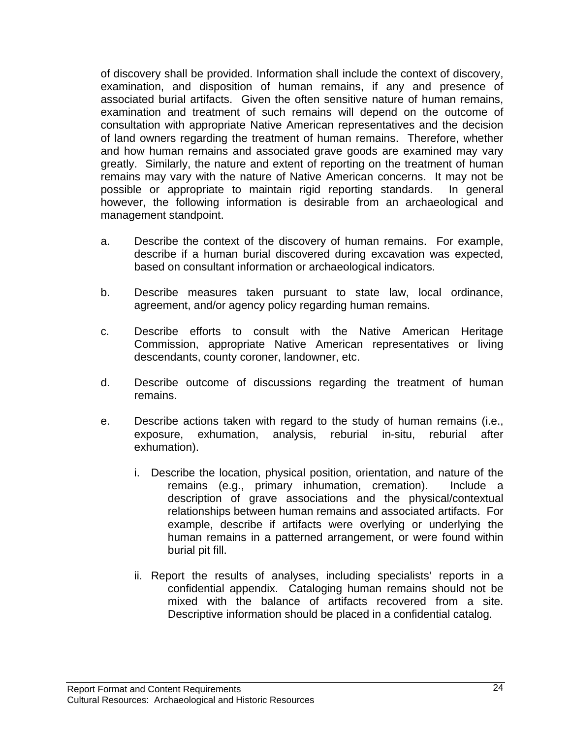of discovery shall be provided. Information shall include the context of discovery, examination, and disposition of human remains, if any and presence of associated burial artifacts. Given the often sensitive nature of human remains, examination and treatment of such remains will depend on the outcome of consultation with appropriate Native American representatives and the decision of land owners regarding the treatment of human remains. Therefore, whether and how human remains and associated grave goods are examined may vary greatly. Similarly, the nature and extent of reporting on the treatment of human remains may vary with the nature of Native American concerns. It may not be possible or appropriate to maintain rigid reporting standards. In general however, the following information is desirable from an archaeological and management standpoint.

- a. Describe the context of the discovery of human remains. For example, describe if a human burial discovered during excavation was expected, based on consultant information or archaeological indicators.
- b. Describe measures taken pursuant to state law, local ordinance, agreement, and/or agency policy regarding human remains.
- c. Describe efforts to consult with the Native American Heritage Commission, appropriate Native American representatives or living descendants, county coroner, landowner, etc.
- d. Describe outcome of discussions regarding the treatment of human remains.
- e. Describe actions taken with regard to the study of human remains (i.e., exposure, exhumation, analysis, reburial in-situ, reburial after exhumation).
	- i. Describe the location, physical position, orientation, and nature of the remains (e.g., primary inhumation, cremation). Include a description of grave associations and the physical/contextual relationships between human remains and associated artifacts. For example, describe if artifacts were overlying or underlying the human remains in a patterned arrangement, or were found within burial pit fill.
	- ii. Report the results of analyses, including specialists' reports in a confidential appendix. Cataloging human remains should not be mixed with the balance of artifacts recovered from a site. Descriptive information should be placed in a confidential catalog.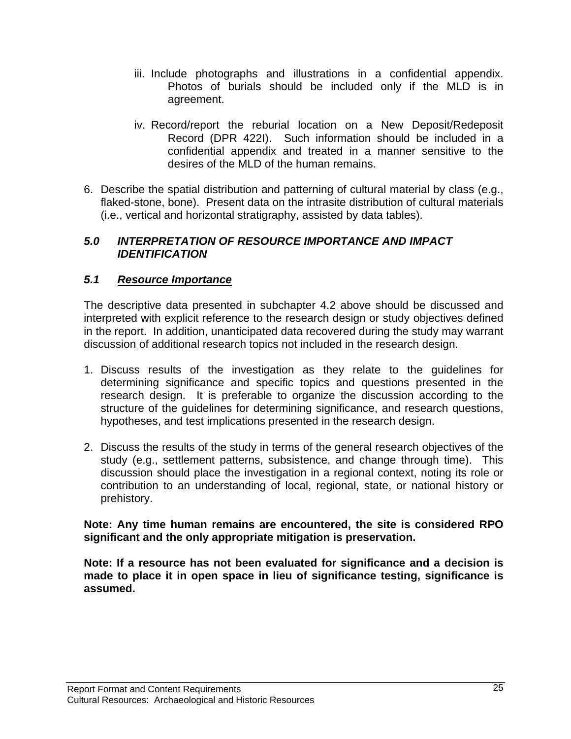- iii. Include photographs and illustrations in a confidential appendix. Photos of burials should be included only if the MLD is in agreement.
- iv. Record/report the reburial location on a New Deposit/Redeposit Record (DPR 422I). Such information should be included in a confidential appendix and treated in a manner sensitive to the desires of the MLD of the human remains.
- 6. Describe the spatial distribution and patterning of cultural material by class (e.g., flaked-stone, bone). Present data on the intrasite distribution of cultural materials (i.e., vertical and horizontal stratigraphy, assisted by data tables).

## *5.0 INTERPRETATION OF RESOURCE IMPORTANCE AND IMPACT IDENTIFICATION*

## *5.1 Resource Importance*

The descriptive data presented in subchapter 4.2 above should be discussed and interpreted with explicit reference to the research design or study objectives defined in the report. In addition, unanticipated data recovered during the study may warrant discussion of additional research topics not included in the research design.

- 1. Discuss results of the investigation as they relate to the guidelines for determining significance and specific topics and questions presented in the research design. It is preferable to organize the discussion according to the structure of the guidelines for determining significance, and research questions, hypotheses, and test implications presented in the research design.
- 2. Discuss the results of the study in terms of the general research objectives of the study (e.g., settlement patterns, subsistence, and change through time). This discussion should place the investigation in a regional context, noting its role or contribution to an understanding of local, regional, state, or national history or prehistory.

#### **Note: Any time human remains are encountered, the site is considered RPO significant and the only appropriate mitigation is preservation.**

**Note: If a resource has not been evaluated for significance and a decision is made to place it in open space in lieu of significance testing, significance is assumed.**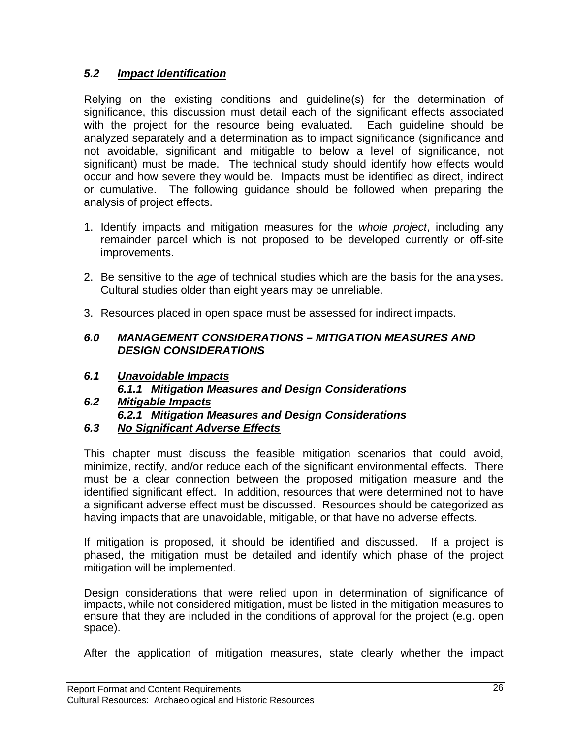## *5.2 Impact Identification*

Relying on the existing conditions and guideline(s) for the determination of significance, this discussion must detail each of the significant effects associated with the project for the resource being evaluated. Each guideline should be analyzed separately and a determination as to impact significance (significance and not avoidable, significant and mitigable to below a level of significance, not significant) must be made. The technical study should identify how effects would occur and how severe they would be. Impacts must be identified as direct, indirect or cumulative. The following guidance should be followed when preparing the analysis of project effects.

- 1. Identify impacts and mitigation measures for the *whole project*, including any remainder parcel which is not proposed to be developed currently or off-site improvements.
- 2. Be sensitive to the *age* of technical studies which are the basis for the analyses. Cultural studies older than eight years may be unreliable.
- 3. Resources placed in open space must be assessed for indirect impacts.

#### *6.0 MANAGEMENT CONSIDERATIONS – MITIGATION MEASURES AND DESIGN CONSIDERATIONS*

- *6.1 Unavoidable Impacts 6.1.1 Mitigation Measures and Design Considerations*
- *6.2 Mitigable Impacts 6.2.1 Mitigation Measures and Design Considerations 6.3 No Significant Adverse Effects*
- 

This chapter must discuss the feasible mitigation scenarios that could avoid, minimize, rectify, and/or reduce each of the significant environmental effects. There must be a clear connection between the proposed mitigation measure and the identified significant effect. In addition, resources that were determined not to have a significant adverse effect must be discussed. Resources should be categorized as having impacts that are unavoidable, mitigable, or that have no adverse effects.

If mitigation is proposed, it should be identified and discussed. If a project is phased, the mitigation must be detailed and identify which phase of the project mitigation will be implemented.

Design considerations that were relied upon in determination of significance of impacts, while not considered mitigation, must be listed in the mitigation measures to ensure that they are included in the conditions of approval for the project (e.g. open space).

After the application of mitigation measures, state clearly whether the impact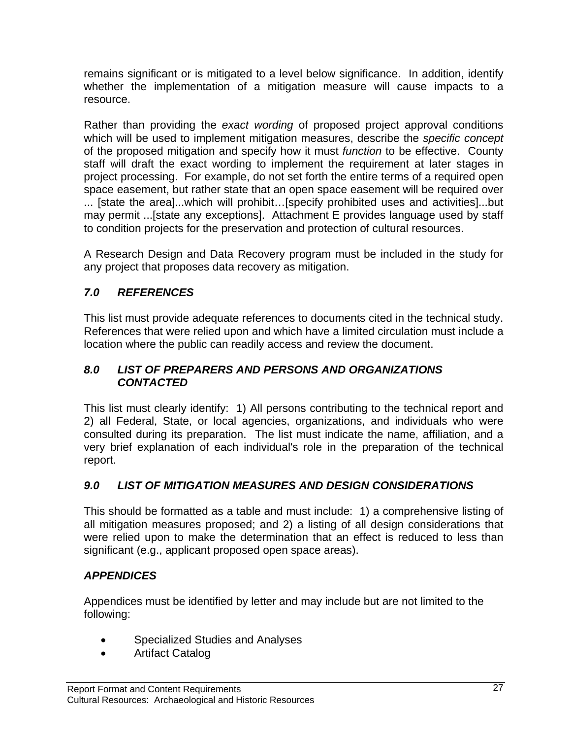remains significant or is mitigated to a level below significance. In addition, identify whether the implementation of a mitigation measure will cause impacts to a resource.

Rather than providing the *exact wording* of proposed project approval conditions which will be used to implement mitigation measures, describe the *specific concept*  of the proposed mitigation and specify how it must *function* to be effective. County staff will draft the exact wording to implement the requirement at later stages in project processing. For example, do not set forth the entire terms of a required open space easement, but rather state that an open space easement will be required over ... [state the area]...which will prohibit…[specify prohibited uses and activities]...but may permit ...[state any exceptions]. Attachment E provides language used by staff to condition projects for the preservation and protection of cultural resources.

A Research Design and Data Recovery program must be included in the study for any project that proposes data recovery as mitigation.

## *7.0 REFERENCES*

This list must provide adequate references to documents cited in the technical study. References that were relied upon and which have a limited circulation must include a location where the public can readily access and review the document.

## *8.0 LIST OF PREPARERS AND PERSONS AND ORGANIZATIONS CONTACTED*

This list must clearly identify: 1) All persons contributing to the technical report and 2) all Federal, State, or local agencies, organizations, and individuals who were consulted during its preparation. The list must indicate the name, affiliation, and a very brief explanation of each individual's role in the preparation of the technical report.

## *9.0 LIST OF MITIGATION MEASURES AND DESIGN CONSIDERATIONS*

This should be formatted as a table and must include: 1) a comprehensive listing of all mitigation measures proposed; and 2) a listing of all design considerations that were relied upon to make the determination that an effect is reduced to less than significant (e.g., applicant proposed open space areas).

## *APPENDICES*

Appendices must be identified by letter and may include but are not limited to the following:

- Specialized Studies and Analyses
- Artifact Catalog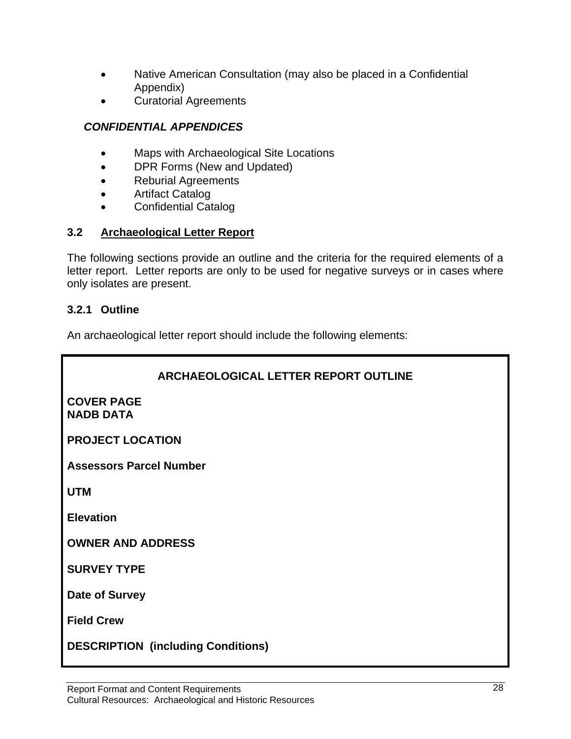- Native American Consultation (may also be placed in a Confidential Appendix)
- Curatorial Agreements

## *CONFIDENTIAL APPENDICES*

- Maps with Archaeological Site Locations
- DPR Forms (New and Updated)
- Reburial Agreements
- Artifact Catalog
- Confidential Catalog

## **3.2 Archaeological Letter Report**

The following sections provide an outline and the criteria for the required elements of a letter report. Letter reports are only to be used for negative surveys or in cases where only isolates are present.

## **3.2.1 Outline**

An archaeological letter report should include the following elements:

| <b>ARCHAEOLOGICAL LETTER REPORT OUTLINE</b> |  |  |  |  |  |
|---------------------------------------------|--|--|--|--|--|
| <b>COVER PAGE</b><br><b>NADB DATA</b>       |  |  |  |  |  |
| <b>PROJECT LOCATION</b>                     |  |  |  |  |  |
| <b>Assessors Parcel Number</b>              |  |  |  |  |  |
| <b>UTM</b>                                  |  |  |  |  |  |
| <b>Elevation</b>                            |  |  |  |  |  |
| <b>OWNER AND ADDRESS</b>                    |  |  |  |  |  |
| <b>SURVEY TYPE</b>                          |  |  |  |  |  |
| Date of Survey                              |  |  |  |  |  |
| <b>Field Crew</b>                           |  |  |  |  |  |
| <b>DESCRIPTION (including Conditions)</b>   |  |  |  |  |  |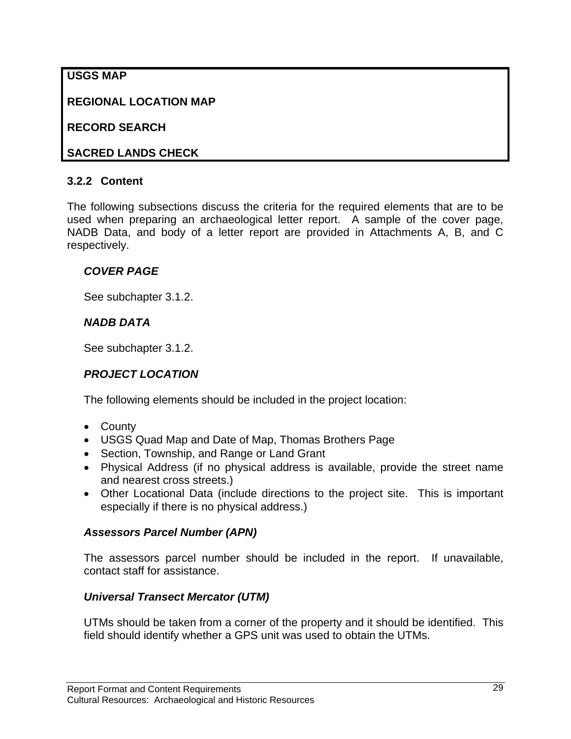## **USGS MAP**

**REGIONAL LOCATION MAP** 

**RECORD SEARCH** 

## **SACRED LANDS CHECK**

## **3.2.2 Content**

The following subsections discuss the criteria for the required elements that are to be used when preparing an archaeological letter report. A sample of the cover page, NADB Data, and body of a letter report are provided in Attachments A, B, and C respectively.

## *COVER PAGE*

See subchapter 3.1.2.

## *NADB DATA*

See subchapter 3.1.2.

## *PROJECT LOCATION*

The following elements should be included in the project location:

- County
- USGS Quad Map and Date of Map, Thomas Brothers Page
- Section, Township, and Range or Land Grant
- Physical Address (if no physical address is available, provide the street name and nearest cross streets.)
- Other Locational Data (include directions to the project site. This is important especially if there is no physical address.)

## *Assessors Parcel Number (APN)*

The assessors parcel number should be included in the report. If unavailable, contact staff for assistance.

## *Universal Transect Mercator (UTM)*

UTMs should be taken from a corner of the property and it should be identified. This field should identify whether a GPS unit was used to obtain the UTMs.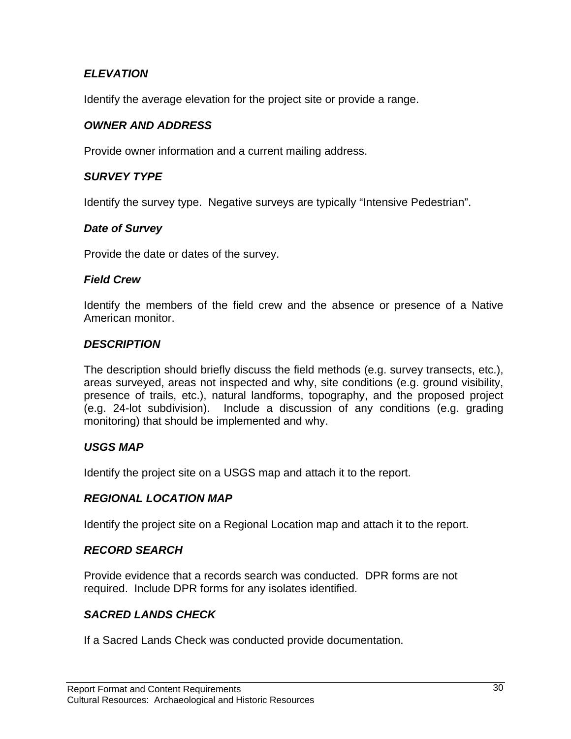## *ELEVATION*

Identify the average elevation for the project site or provide a range.

#### *OWNER AND ADDRESS*

Provide owner information and a current mailing address.

#### *SURVEY TYPE*

Identify the survey type. Negative surveys are typically "Intensive Pedestrian".

#### *Date of Survey*

Provide the date or dates of the survey.

#### *Field Crew*

Identify the members of the field crew and the absence or presence of a Native American monitor.

#### *DESCRIPTION*

The description should briefly discuss the field methods (e.g. survey transects, etc.), areas surveyed, areas not inspected and why, site conditions (e.g. ground visibility, presence of trails, etc.), natural landforms, topography, and the proposed project (e.g. 24-lot subdivision). Include a discussion of any conditions (e.g. grading monitoring) that should be implemented and why.

#### *USGS MAP*

Identify the project site on a USGS map and attach it to the report.

#### *REGIONAL LOCATION MAP*

Identify the project site on a Regional Location map and attach it to the report.

#### *RECORD SEARCH*

Provide evidence that a records search was conducted. DPR forms are not required. Include DPR forms for any isolates identified.

## *SACRED LANDS CHECK*

If a Sacred Lands Check was conducted provide documentation.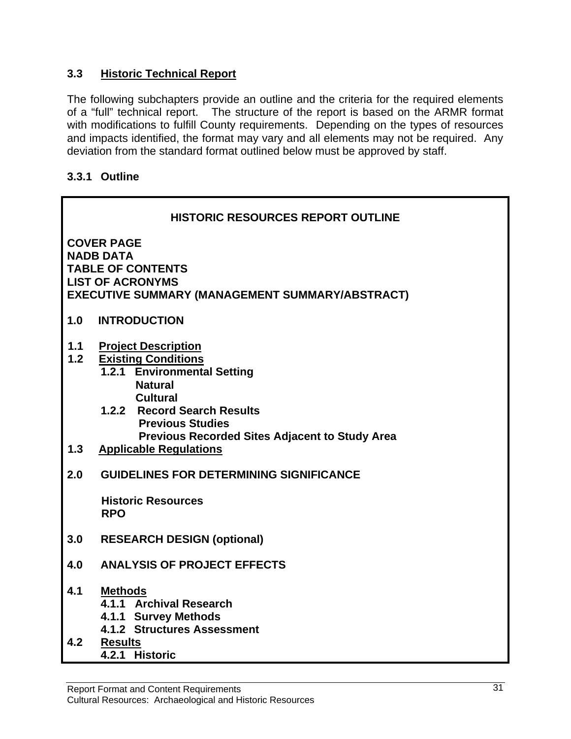## **3.3 Historic Technical Report**

The following subchapters provide an outline and the criteria for the required elements of a "full" technical report. The structure of the report is based on the ARMR format with modifications to fulfill County requirements. Depending on the types of resources and impacts identified, the format may vary and all elements may not be required. Any deviation from the standard format outlined below must be approved by staff.

## **3.3.1 Outline**

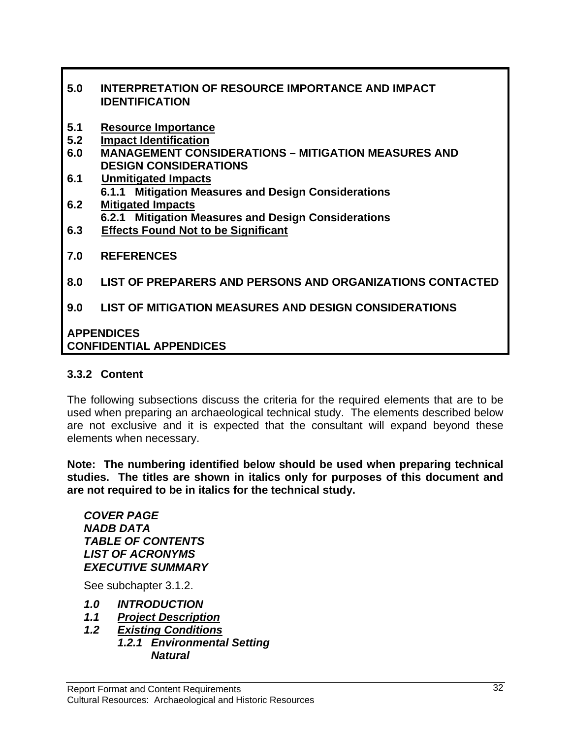## **5.0 INTERPRETATION OF RESOURCE IMPORTANCE AND IMPACT IDENTIFICATION**

- **5.1 Resource Importance**
- **5.2 Impact Identification**
- **6.0 MANAGEMENT CONSIDERATIONS MITIGATION MEASURES AND DESIGN CONSIDERATIONS**
- **6.1 Unmitigated Impacts 6.1.1 Mitigation Measures and Design Considerations**
- **6.2 Mitigated Impacts 6.2.1 Mitigation Measures and Design Considerations**
- **6.3 Effects Found Not to be Significant**
- **7.0 REFERENCES**
- **8.0 LIST OF PREPARERS AND PERSONS AND ORGANIZATIONS CONTACTED**

## **9.0 LIST OF MITIGATION MEASURES AND DESIGN CONSIDERATIONS**

#### **APPENDICES CONFIDENTIAL APPENDICES**

#### **3.3.2 Content**

The following subsections discuss the criteria for the required elements that are to be used when preparing an archaeological technical study. The elements described below are not exclusive and it is expected that the consultant will expand beyond these elements when necessary.

**Note: The numbering identified below should be used when preparing technical studies. The titles are shown in italics only for purposes of this document and are not required to be in italics for the technical study.** 

*COVER PAGE NADB DATA TABLE OF CONTENTS LIST OF ACRONYMS EXECUTIVE SUMMARY* 

See subchapter 3.1.2.

- *1.0 INTRODUCTION*
- *1.1 Project Description*
- *1.2 Existing Conditions*
- *1.2.1 Environmental Setting Natural*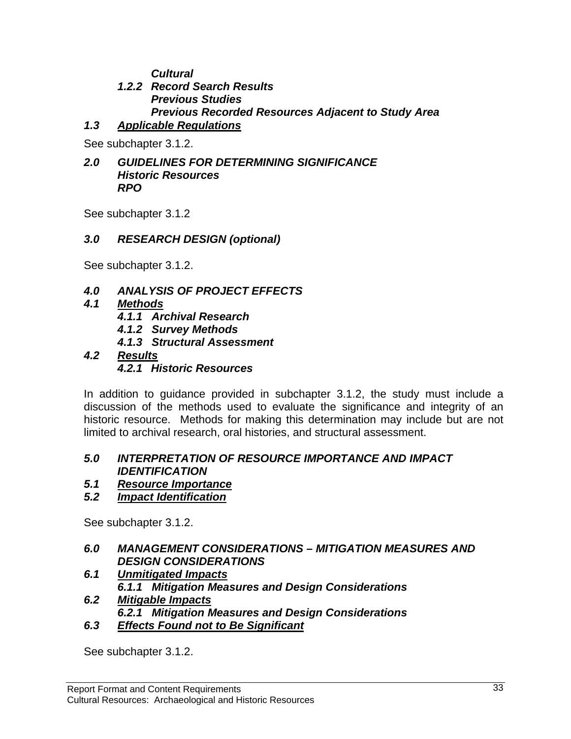*Cultural* 

## *1.2.2 Record Search Results Previous Studies Previous Recorded Resources Adjacent to Study Area*

## *1.3 Applicable Regulations*

See subchapter 3.1.2.

#### *2.0 GUIDELINES FOR DETERMINING SIGNIFICANCE Historic Resources RPO*

See subchapter 3.1.2

## *3.0 RESEARCH DESIGN (optional)*

See subchapter 3.1.2.

## *4.0 ANALYSIS OF PROJECT EFFECTS*

- *4.1 Methods*
	- *4.1.1 Archival Research*
	- *4.1.2 Survey Methods*
	- *4.1.3 Structural Assessment*

## *4.2 Results*

*4.2.1 Historic Resources* 

In addition to guidance provided in subchapter 3.1.2, the study must include a discussion of the methods used to evaluate the significance and integrity of an historic resource. Methods for making this determination may include but are not limited to archival research, oral histories, and structural assessment.

## *5.0 INTERPRETATION OF RESOURCE IMPORTANCE AND IMPACT IDENTIFICATION*

- *5.1 Resource Importance*
- *5.2 Impact Identification*

See subchapter 3.1.2.

## *6.0 MANAGEMENT CONSIDERATIONS – MITIGATION MEASURES AND DESIGN CONSIDERATIONS*

- *6.1 Unmitigated Impacts 6.1.1 Mitigation Measures and Design Considerations*
- *6.2 Mitigable Impacts 6.2.1 Mitigation Measures and Design Considerations*
- *6.3 Effects Found not to Be Significant*

See subchapter 3.1.2.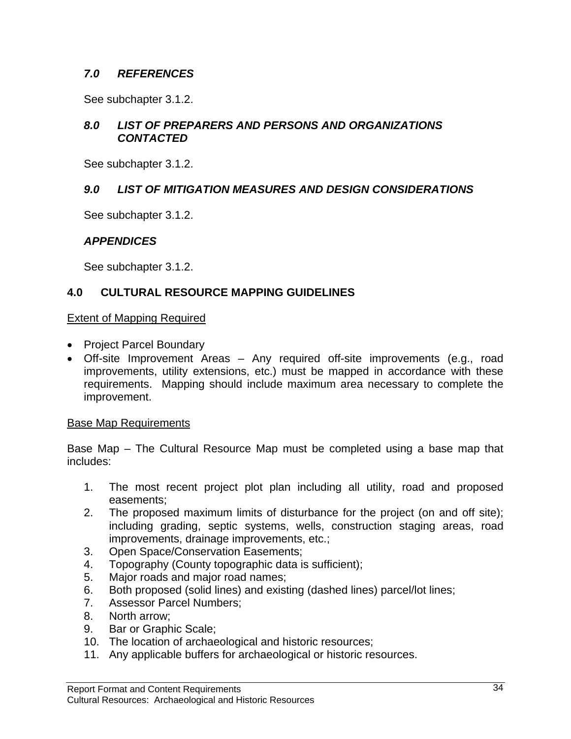## *7.0 REFERENCES*

See subchapter 3.1.2.

## *8.0 LIST OF PREPARERS AND PERSONS AND ORGANIZATIONS CONTACTED*

See subchapter 3.1.2.

## *9.0 LIST OF MITIGATION MEASURES AND DESIGN CONSIDERATIONS*

See subchapter 3.1.2.

## *APPENDICES*

See subchapter 3.1.2.

## **4.0 CULTURAL RESOURCE MAPPING GUIDELINES**

#### Extent of Mapping Required

- Project Parcel Boundary
- Off-site Improvement Areas Any required off-site improvements (e.g., road improvements, utility extensions, etc.) must be mapped in accordance with these requirements. Mapping should include maximum area necessary to complete the improvement.

#### Base Map Requirements

Base Map – The Cultural Resource Map must be completed using a base map that includes:

- 1. The most recent project plot plan including all utility, road and proposed easements;
- 2. The proposed maximum limits of disturbance for the project (on and off site); including grading, septic systems, wells, construction staging areas, road improvements, drainage improvements, etc.;
- 3. Open Space/Conservation Easements;
- 4. Topography (County topographic data is sufficient);
- 5. Major roads and major road names;
- 6. Both proposed (solid lines) and existing (dashed lines) parcel/lot lines;
- 7. Assessor Parcel Numbers;
- 8. North arrow;
- 9. Bar or Graphic Scale;
- 10. The location of archaeological and historic resources;
- 11. Any applicable buffers for archaeological or historic resources.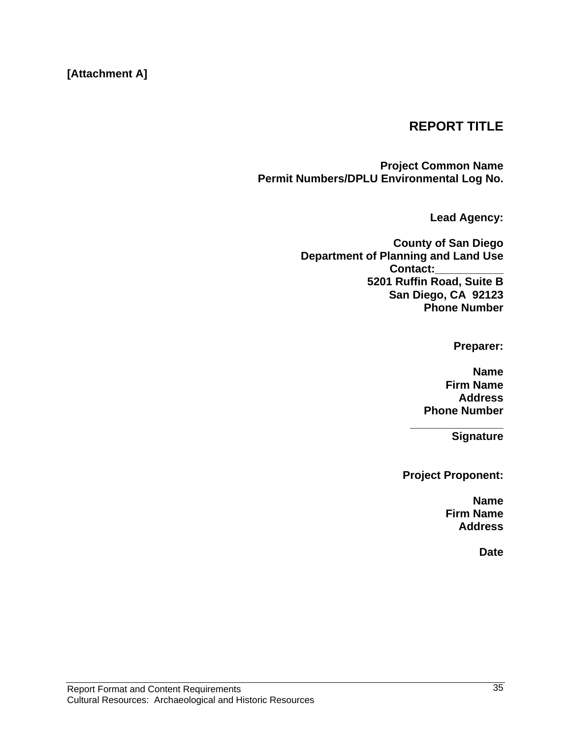## **[Attachment A]**

## **REPORT TITLE**

**Project Common Name Permit Numbers/DPLU Environmental Log No.** 

**Lead Agency:** 

**County of San Diego Department of Planning and Land Use Contact:\_\_\_\_\_\_\_\_\_\_\_ 5201 Ruffin Road, Suite B San Diego, CA 92123 Phone Number** 

**Preparer:** 

**Name Firm Name Address Phone Number** 

**\_\_\_\_\_\_\_\_\_\_\_\_\_\_\_** 

**Signature** 

**Project Proponent:** 

**Name Firm Name Address** 

**Date**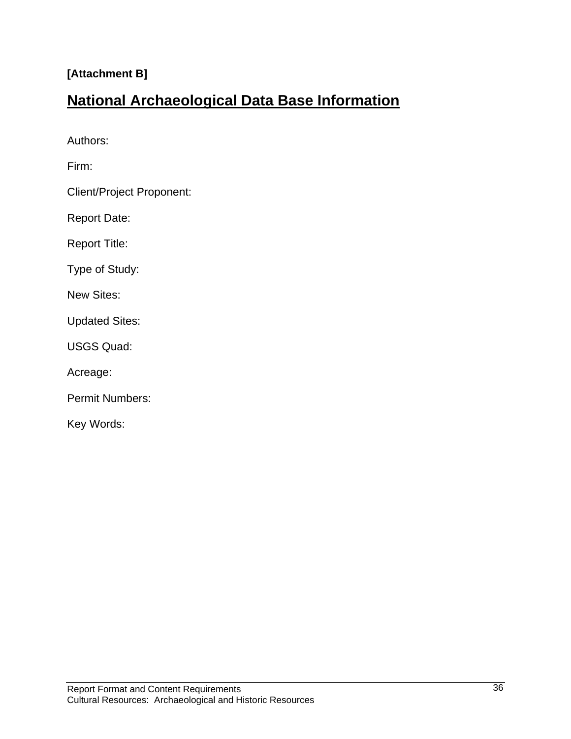## **[Attachment B]**

## **National Archaeological Data Base Information**

Authors:

Firm:

Client/Project Proponent:

Report Date:

Report Title:

Type of Study:

New Sites:

Updated Sites:

USGS Quad:

Acreage:

Permit Numbers:

Key Words: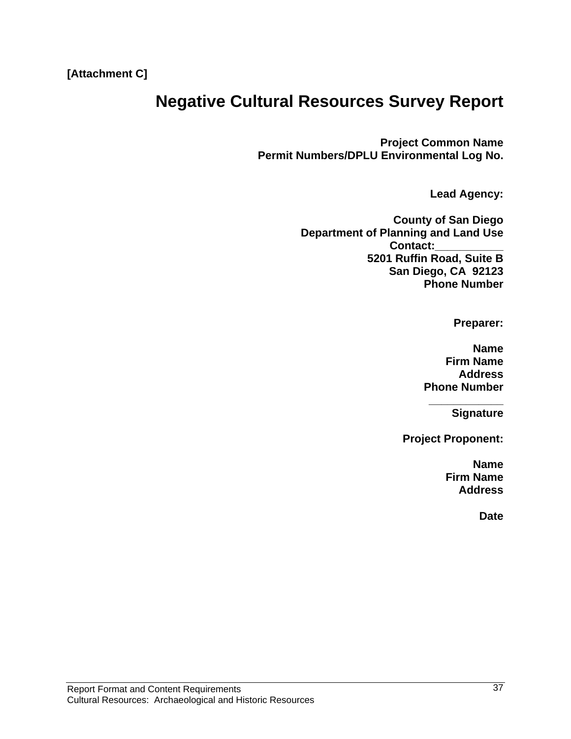## **Negative Cultural Resources Survey Report**

**Project Common Name Permit Numbers/DPLU Environmental Log No.** 

**Lead Agency:** 

**County of San Diego Department of Planning and Land Use Contact:\_\_\_\_\_\_\_\_\_\_\_ 5201 Ruffin Road, Suite B San Diego, CA 92123 Phone Number** 

**Preparer:** 

**Name Firm Name Address Phone Number** 

**\_\_\_\_\_\_\_\_\_\_\_\_** 

**Signature** 

**Project Proponent:** 

**Name Firm Name Address** 

**Date**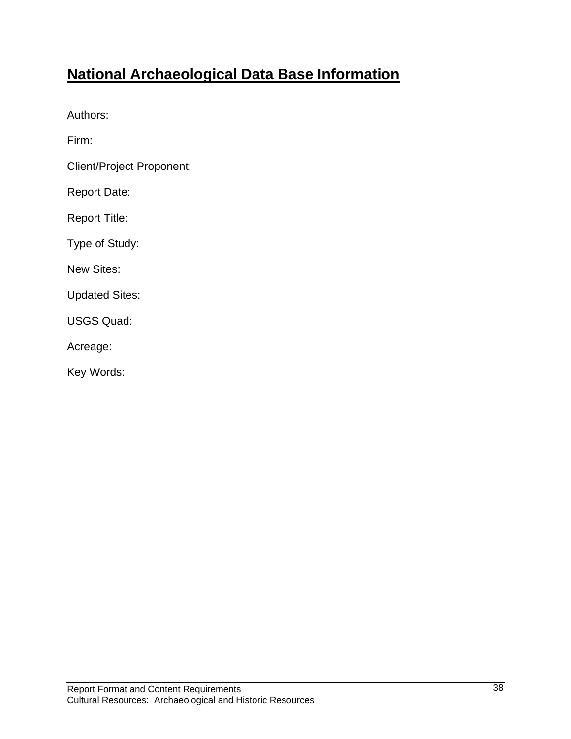## **National Archaeological Data Base Information**

Authors:

Firm:

Client/Project Proponent:

Report Date:

Report Title:

Type of Study:

New Sites:

Updated Sites:

USGS Quad:

Acreage:

Key Words: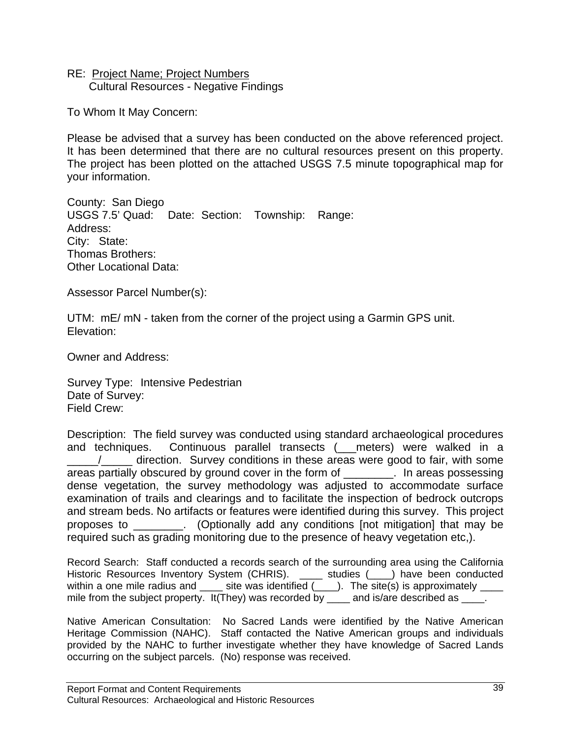#### RE: Project Name; Project Numbers Cultural Resources - Negative Findings

To Whom It May Concern:

Please be advised that a survey has been conducted on the above referenced project. It has been determined that there are no cultural resources present on this property. The project has been plotted on the attached USGS 7.5 minute topographical map for your information.

County: San Diego USGS 7.5' Quad: Date: Section: Township: Range: Address: City: State: Thomas Brothers: Other Locational Data:

Assessor Parcel Number(s):

UTM: mE/ mN - taken from the corner of the project using a Garmin GPS unit. Elevation:

Owner and Address:

Survey Type: Intensive Pedestrian Date of Survey: Field Crew:

Description: The field survey was conducted using standard archaeological procedures and techniques. Continuous parallel transects ( meters) were walked in a \_\_\_\_\_/\_\_\_\_\_ direction. Survey conditions in these areas were good to fair, with some areas partially obscured by ground cover in the form of \_\_\_\_\_\_\_\_. In areas possessing dense vegetation, the survey methodology was adjusted to accommodate surface examination of trails and clearings and to facilitate the inspection of bedrock outcrops and stream beds. No artifacts or features were identified during this survey. This project proposes to \_\_\_\_\_\_\_\_. (Optionally add any conditions [not mitigation] that may be required such as grading monitoring due to the presence of heavy vegetation etc,).

Record Search: Staff conducted a records search of the surrounding area using the California Historic Resources Inventory System (CHRIS). \_\_\_\_ studies (\_\_\_\_) have been conducted within a one mile radius and  $\_\_\_$  site was identified  $(\_\_\_)$ . The site(s) is approximately  $\_\_\_\_\_$ mile from the subject property. It(They) was recorded by \_\_\_\_ and is/are described as \_\_\_\_.

Native American Consultation: No Sacred Lands were identified by the Native American Heritage Commission (NAHC). Staff contacted the Native American groups and individuals provided by the NAHC to further investigate whether they have knowledge of Sacred Lands occurring on the subject parcels. (No) response was received.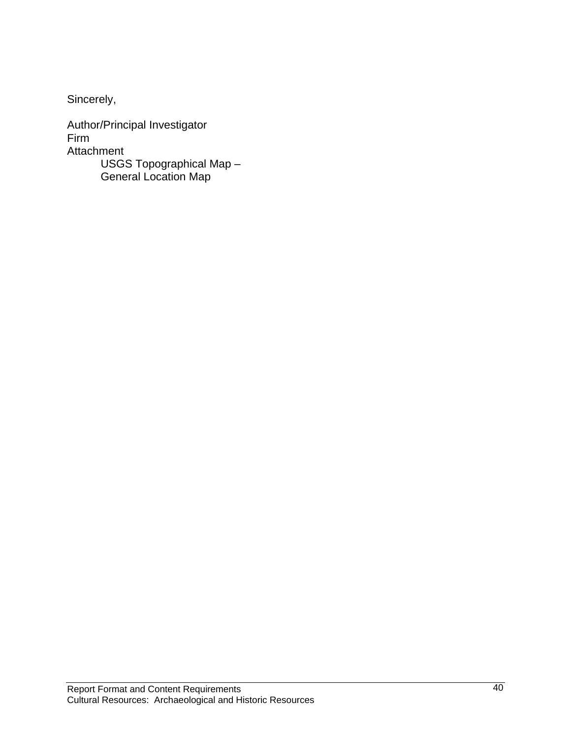Sincerely,

Author/Principal Investigator Firm Attachment USGS Topographical Map – General Location Map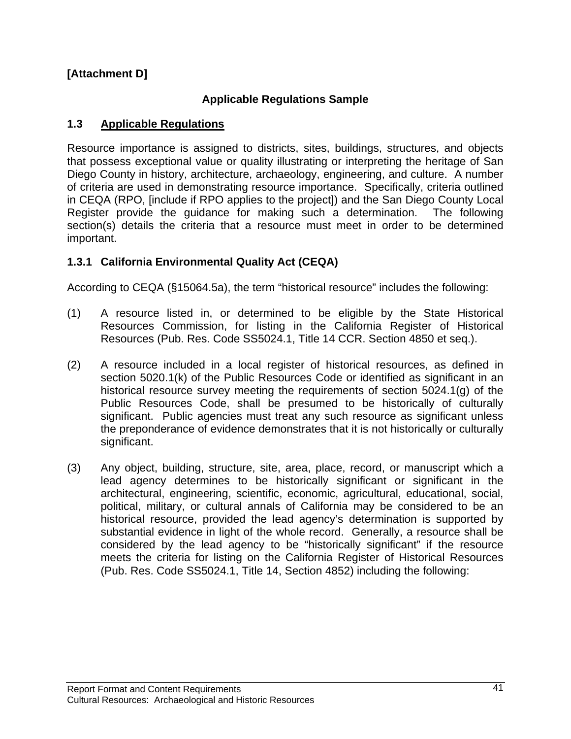## **[Attachment D]**

## **Applicable Regulations Sample**

#### **1.3 Applicable Regulations**

Resource importance is assigned to districts, sites, buildings, structures, and objects that possess exceptional value or quality illustrating or interpreting the heritage of San Diego County in history, architecture, archaeology, engineering, and culture. A number of criteria are used in demonstrating resource importance. Specifically, criteria outlined in CEQA (RPO, [include if RPO applies to the project]) and the San Diego County Local Register provide the guidance for making such a determination. The following section(s) details the criteria that a resource must meet in order to be determined important.

## **1.3.1 California Environmental Quality Act (CEQA)**

According to CEQA (§15064.5a), the term "historical resource" includes the following:

- (1) A resource listed in, or determined to be eligible by the State Historical Resources Commission, for listing in the California Register of Historical Resources (Pub. Res. Code SS5024.1, Title 14 CCR. Section 4850 et seq.).
- (2) A resource included in a local register of historical resources, as defined in section 5020.1(k) of the Public Resources Code or identified as significant in an historical resource survey meeting the requirements of section 5024.1(g) of the Public Resources Code, shall be presumed to be historically of culturally significant. Public agencies must treat any such resource as significant unless the preponderance of evidence demonstrates that it is not historically or culturally significant.
- (3) Any object, building, structure, site, area, place, record, or manuscript which a lead agency determines to be historically significant or significant in the architectural, engineering, scientific, economic, agricultural, educational, social, political, military, or cultural annals of California may be considered to be an historical resource, provided the lead agency's determination is supported by substantial evidence in light of the whole record. Generally, a resource shall be considered by the lead agency to be "historically significant" if the resource meets the criteria for listing on the California Register of Historical Resources (Pub. Res. Code SS5024.1, Title 14, Section 4852) including the following: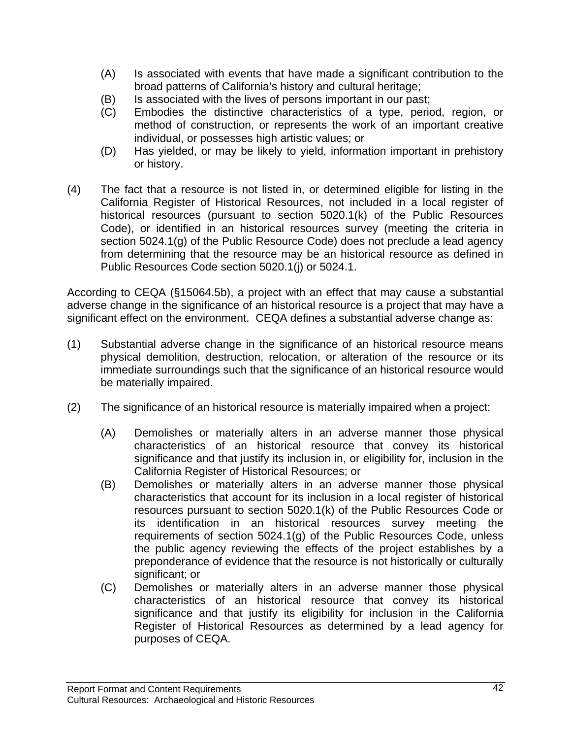- (A) Is associated with events that have made a significant contribution to the broad patterns of California's history and cultural heritage;
- (B) Is associated with the lives of persons important in our past;
- (C) Embodies the distinctive characteristics of a type, period, region, or method of construction, or represents the work of an important creative individual, or possesses high artistic values; or
- (D) Has yielded, or may be likely to yield, information important in prehistory or history.
- (4) The fact that a resource is not listed in, or determined eligible for listing in the California Register of Historical Resources, not included in a local register of historical resources (pursuant to section 5020.1(k) of the Public Resources Code), or identified in an historical resources survey (meeting the criteria in section 5024.1(g) of the Public Resource Code) does not preclude a lead agency from determining that the resource may be an historical resource as defined in Public Resources Code section 5020.1(j) or 5024.1.

According to CEQA (§15064.5b), a project with an effect that may cause a substantial adverse change in the significance of an historical resource is a project that may have a significant effect on the environment. CEQA defines a substantial adverse change as:

- (1) Substantial adverse change in the significance of an historical resource means physical demolition, destruction, relocation, or alteration of the resource or its immediate surroundings such that the significance of an historical resource would be materially impaired.
- (2) The significance of an historical resource is materially impaired when a project:
	- (A) Demolishes or materially alters in an adverse manner those physical characteristics of an historical resource that convey its historical significance and that justify its inclusion in, or eligibility for, inclusion in the California Register of Historical Resources; or
	- (B) Demolishes or materially alters in an adverse manner those physical characteristics that account for its inclusion in a local register of historical resources pursuant to section 5020.1(k) of the Public Resources Code or its identification in an historical resources survey meeting the requirements of section 5024.1(g) of the Public Resources Code, unless the public agency reviewing the effects of the project establishes by a preponderance of evidence that the resource is not historically or culturally significant; or
	- (C) Demolishes or materially alters in an adverse manner those physical characteristics of an historical resource that convey its historical significance and that justify its eligibility for inclusion in the California Register of Historical Resources as determined by a lead agency for purposes of CEQA.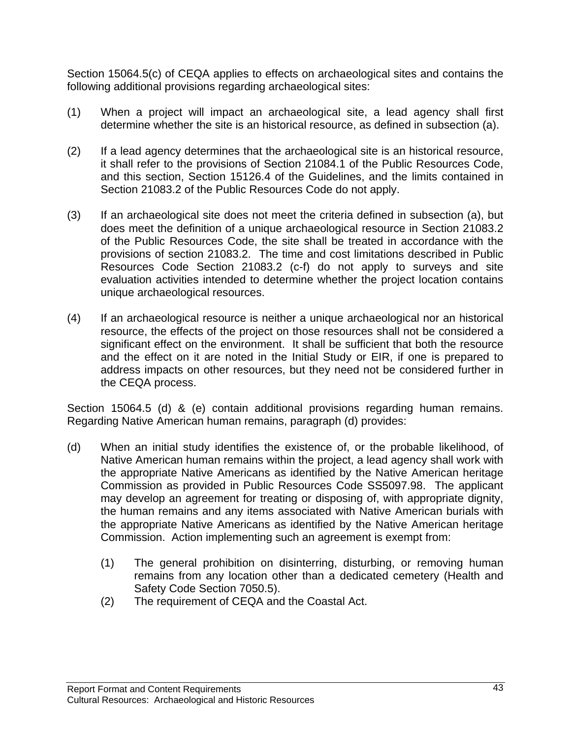Section 15064.5(c) of CEQA applies to effects on archaeological sites and contains the following additional provisions regarding archaeological sites:

- (1) When a project will impact an archaeological site, a lead agency shall first determine whether the site is an historical resource, as defined in subsection (a).
- (2) If a lead agency determines that the archaeological site is an historical resource, it shall refer to the provisions of Section 21084.1 of the Public Resources Code, and this section, Section 15126.4 of the Guidelines, and the limits contained in Section 21083.2 of the Public Resources Code do not apply.
- (3) If an archaeological site does not meet the criteria defined in subsection (a), but does meet the definition of a unique archaeological resource in Section 21083.2 of the Public Resources Code, the site shall be treated in accordance with the provisions of section 21083.2. The time and cost limitations described in Public Resources Code Section 21083.2 (c-f) do not apply to surveys and site evaluation activities intended to determine whether the project location contains unique archaeological resources.
- (4) If an archaeological resource is neither a unique archaeological nor an historical resource, the effects of the project on those resources shall not be considered a significant effect on the environment. It shall be sufficient that both the resource and the effect on it are noted in the Initial Study or EIR, if one is prepared to address impacts on other resources, but they need not be considered further in the CEQA process.

Section 15064.5 (d) & (e) contain additional provisions regarding human remains. Regarding Native American human remains, paragraph (d) provides:

- (d) When an initial study identifies the existence of, or the probable likelihood, of Native American human remains within the project, a lead agency shall work with the appropriate Native Americans as identified by the Native American heritage Commission as provided in Public Resources Code SS5097.98. The applicant may develop an agreement for treating or disposing of, with appropriate dignity, the human remains and any items associated with Native American burials with the appropriate Native Americans as identified by the Native American heritage Commission. Action implementing such an agreement is exempt from:
	- (1) The general prohibition on disinterring, disturbing, or removing human remains from any location other than a dedicated cemetery (Health and Safety Code Section 7050.5).
	- (2) The requirement of CEQA and the Coastal Act.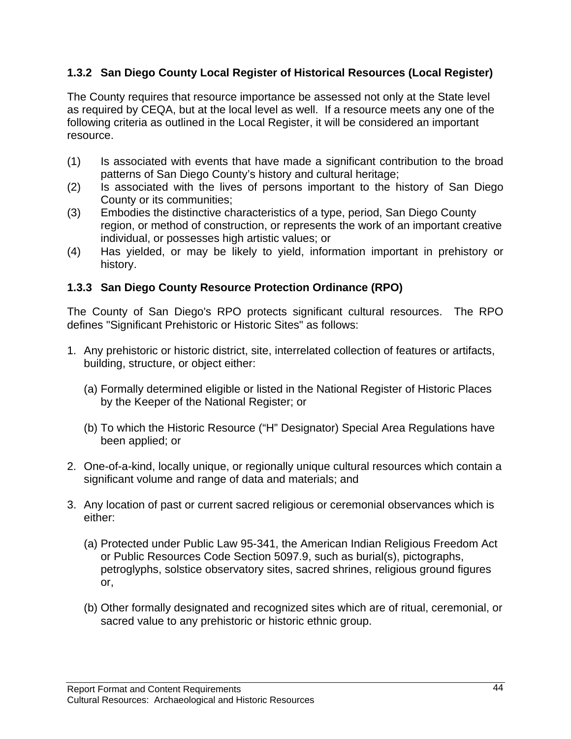## **1.3.2 San Diego County Local Register of Historical Resources (Local Register)**

The County requires that resource importance be assessed not only at the State level as required by CEQA, but at the local level as well. If a resource meets any one of the following criteria as outlined in the Local Register, it will be considered an important resource.

- (1) Is associated with events that have made a significant contribution to the broad patterns of San Diego County's history and cultural heritage;
- (2) Is associated with the lives of persons important to the history of San Diego County or its communities;
- (3) Embodies the distinctive characteristics of a type, period, San Diego County region, or method of construction, or represents the work of an important creative individual, or possesses high artistic values; or
- (4) Has yielded, or may be likely to yield, information important in prehistory or history.

## **1.3.3 San Diego County Resource Protection Ordinance (RPO)**

The County of San Diego's RPO protects significant cultural resources. The RPO defines "Significant Prehistoric or Historic Sites" as follows:

- 1. Any prehistoric or historic district, site, interrelated collection of features or artifacts, building, structure, or object either:
	- (a) Formally determined eligible or listed in the National Register of Historic Places by the Keeper of the National Register; or
	- (b) To which the Historic Resource ("H" Designator) Special Area Regulations have been applied; or
- 2. One-of-a-kind, locally unique, or regionally unique cultural resources which contain a significant volume and range of data and materials; and
- 3. Any location of past or current sacred religious or ceremonial observances which is either:
	- (a) Protected under Public Law 95-341, the American Indian Religious Freedom Act or Public Resources Code Section 5097.9, such as burial(s), pictographs, petroglyphs, solstice observatory sites, sacred shrines, religious ground figures or,
	- (b) Other formally designated and recognized sites which are of ritual, ceremonial, or sacred value to any prehistoric or historic ethnic group.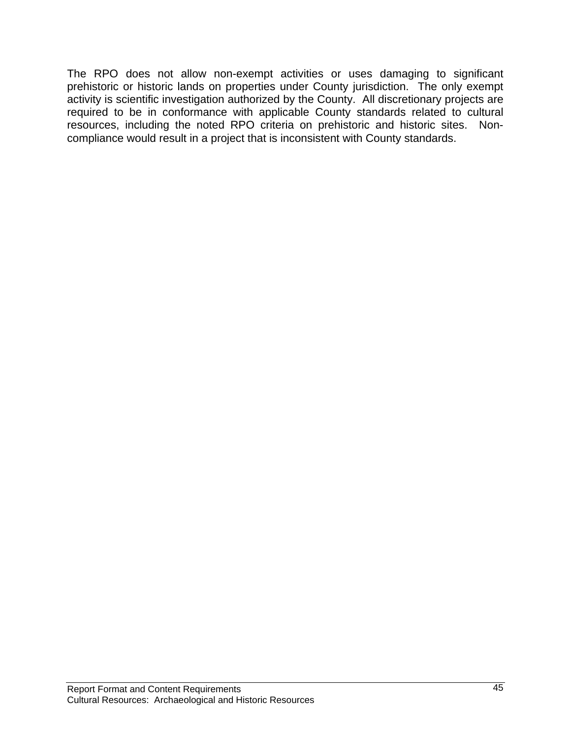The RPO does not allow non-exempt activities or uses damaging to significant prehistoric or historic lands on properties under County jurisdiction. The only exempt activity is scientific investigation authorized by the County. All discretionary projects are required to be in conformance with applicable County standards related to cultural resources, including the noted RPO criteria on prehistoric and historic sites. Noncompliance would result in a project that is inconsistent with County standards.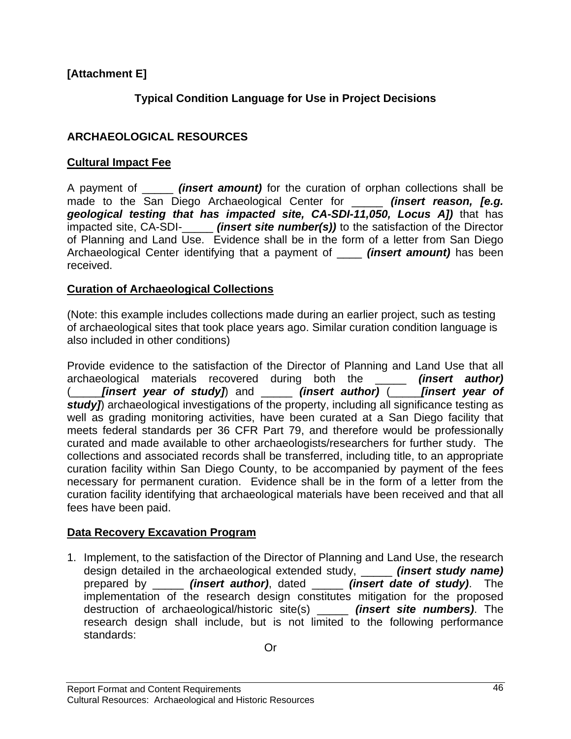## **Typical Condition Language for Use in Project Decisions**

## **ARCHAEOLOGICAL RESOURCES**

## **Cultural Impact Fee**

A payment of \_\_\_\_\_ *(insert amount)* for the curation of orphan collections shall be made to the San Diego Archaeological Center for \_\_\_\_\_ *(insert reason, [e.g. geological testing that has impacted site, CA-SDI-11,050, Locus A])* that has impacted site, CA-SDI-\_\_\_\_\_ *(insert site number(s))* to the satisfaction of the Director of Planning and Land Use. Evidence shall be in the form of a letter from San Diego Archaeological Center identifying that a payment of \_\_\_\_ *(insert amount)* has been received.

## **Curation of Archaeological Collections**

(Note: this example includes collections made during an earlier project, such as testing of archaeological sites that took place years ago. Similar curation condition language is also included in other conditions)

Provide evidence to the satisfaction of the Director of Planning and Land Use that all archaeological materials recovered during both the \_\_\_\_\_ *(insert author)*  (\_\_\_\_\_*[insert year of study]*) and \_\_\_\_\_ *(insert author)* (\_\_\_\_\_*[insert year of*  study]) archaeological investigations of the property, including all significance testing as well as grading monitoring activities, have been curated at a San Diego facility that meets federal standards per 36 CFR Part 79, and therefore would be professionally curated and made available to other archaeologists/researchers for further study. The collections and associated records shall be transferred, including title, to an appropriate curation facility within San Diego County, to be accompanied by payment of the fees necessary for permanent curation. Evidence shall be in the form of a letter from the curation facility identifying that archaeological materials have been received and that all fees have been paid.

## **Data Recovery Excavation Program**

1. Implement, to the satisfaction of the Director of Planning and Land Use, the research design detailed in the archaeological extended study, \_\_\_\_\_ *(insert study name)* prepared by \_\_\_\_\_ *(insert author)*, dated \_\_\_\_\_ *(insert date of study)*. The implementation of the research design constitutes mitigation for the proposed destruction of archaeological/historic site(s) \_\_\_\_\_ *(insert site numbers)*. The research design shall include, but is not limited to the following performance standards: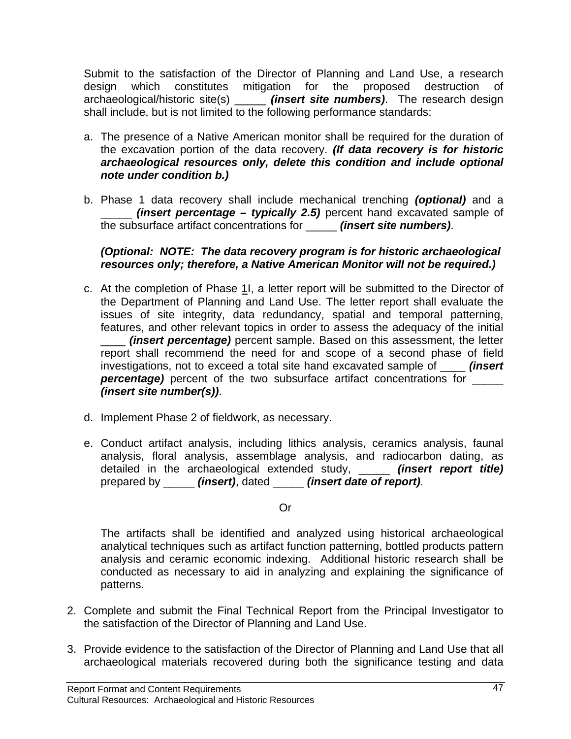Submit to the satisfaction of the Director of Planning and Land Use, a research design which constitutes mitigation for the proposed destruction of archaeological/historic site(s) \_\_\_\_\_ *(insert site numbers)*. The research design shall include, but is not limited to the following performance standards:

- a. The presence of a Native American monitor shall be required for the duration of the excavation portion of the data recovery. *(If data recovery is for historic archaeological resources only, delete this condition and include optional note under condition b.)*
- b. Phase 1 data recovery shall include mechanical trenching *(optional)* and a \_\_\_\_\_ *(insert percentage – typically 2.5)* percent hand excavated sample of the subsurface artifact concentrations for \_\_\_\_\_ *(insert site numbers)*.

#### *(Optional: NOTE: The data recovery program is for historic archaeological resources only; therefore, a Native American Monitor will not be required.)*

- c. At the completion of Phase 1I, a letter report will be submitted to the Director of the Department of Planning and Land Use. The letter report shall evaluate the issues of site integrity, data redundancy, spatial and temporal patterning, features, and other relevant topics in order to assess the adequacy of the initial *(insert percentage)* percent sample. Based on this assessment, the letter report shall recommend the need for and scope of a second phase of field investigations, not to exceed a total site hand excavated sample of \_\_\_\_ *(insert*  **percentage)** percent of the two subsurface artifact concentrations for *(insert site number(s))*.
- d. Implement Phase 2 of fieldwork, as necessary.
- e. Conduct artifact analysis, including lithics analysis, ceramics analysis, faunal analysis, floral analysis, assemblage analysis, and radiocarbon dating, as detailed in the archaeological extended study, \_\_\_\_\_ *(insert report title)*  prepared by \_\_\_\_\_ *(insert)*, dated \_\_\_\_\_ *(insert date of report)*.

#### Or

The artifacts shall be identified and analyzed using historical archaeological analytical techniques such as artifact function patterning, bottled products pattern analysis and ceramic economic indexing. Additional historic research shall be conducted as necessary to aid in analyzing and explaining the significance of patterns.

- 2. Complete and submit the Final Technical Report from the Principal Investigator to the satisfaction of the Director of Planning and Land Use.
- 3. Provide evidence to the satisfaction of the Director of Planning and Land Use that all archaeological materials recovered during both the significance testing and data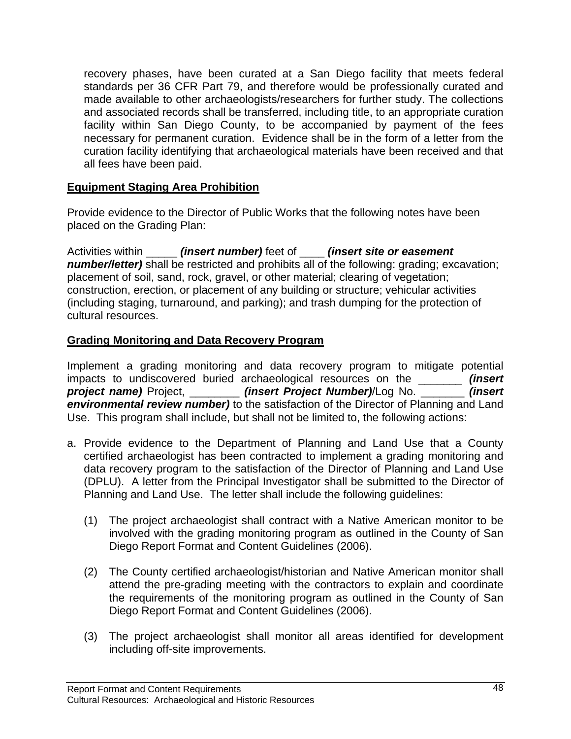recovery phases, have been curated at a San Diego facility that meets federal standards per 36 CFR Part 79, and therefore would be professionally curated and made available to other archaeologists/researchers for further study. The collections and associated records shall be transferred, including title, to an appropriate curation facility within San Diego County, to be accompanied by payment of the fees necessary for permanent curation. Evidence shall be in the form of a letter from the curation facility identifying that archaeological materials have been received and that all fees have been paid.

#### **Equipment Staging Area Prohibition**

Provide evidence to the Director of Public Works that the following notes have been placed on the Grading Plan:

Activities within \_\_\_\_\_ *(insert number)* feet of \_\_\_\_ *(insert site or easement number/letter)* shall be restricted and prohibits all of the following: grading; excavation; placement of soil, sand, rock, gravel, or other material; clearing of vegetation; construction, erection, or placement of any building or structure; vehicular activities (including staging, turnaround, and parking); and trash dumping for the protection of cultural resources.

#### **Grading Monitoring and Data Recovery Program**

Implement a grading monitoring and data recovery program to mitigate potential impacts to undiscovered buried archaeological resources on the \_\_\_\_\_\_\_ *(insert project name)* Project, \_\_\_\_\_\_\_\_ *(insert Project Number)*/Log No. \_\_\_\_\_\_\_ *(insert environmental review number)* to the satisfaction of the Director of Planning and Land Use. This program shall include, but shall not be limited to, the following actions:

- a. Provide evidence to the Department of Planning and Land Use that a County certified archaeologist has been contracted to implement a grading monitoring and data recovery program to the satisfaction of the Director of Planning and Land Use (DPLU). A letter from the Principal Investigator shall be submitted to the Director of Planning and Land Use. The letter shall include the following guidelines:
	- (1) The project archaeologist shall contract with a Native American monitor to be involved with the grading monitoring program as outlined in the County of San Diego Report Format and Content Guidelines (2006).
	- (2) The County certified archaeologist/historian and Native American monitor shall attend the pre-grading meeting with the contractors to explain and coordinate the requirements of the monitoring program as outlined in the County of San Diego Report Format and Content Guidelines (2006).
	- (3) The project archaeologist shall monitor all areas identified for development including off-site improvements.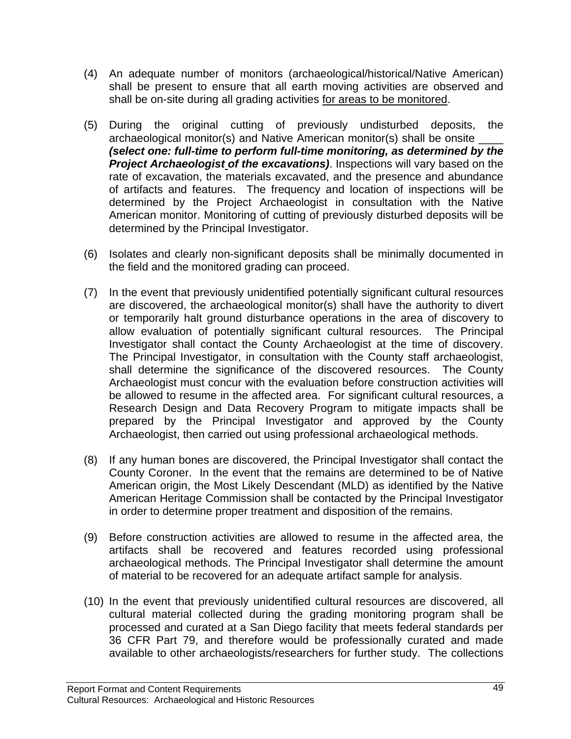- (4) An adequate number of monitors (archaeological/historical/Native American) shall be present to ensure that all earth moving activities are observed and shall be on-site during all grading activities for areas to be monitored.
- (5) During the original cutting of previously undisturbed deposits, the archaeological monitor(s) and Native American monitor(s) shall be onsite \_\_\_\_\_ *(select one: full-time to perform full-time monitoring, as determined by the Project Archaeologist of the excavations)*. Inspections will vary based on the rate of excavation, the materials excavated, and the presence and abundance of artifacts and features. The frequency and location of inspections will be determined by the Project Archaeologist in consultation with the Native American monitor. Monitoring of cutting of previously disturbed deposits will be determined by the Principal Investigator.
- (6) Isolates and clearly non-significant deposits shall be minimally documented in the field and the monitored grading can proceed.
- (7) In the event that previously unidentified potentially significant cultural resources are discovered, the archaeological monitor(s) shall have the authority to divert or temporarily halt ground disturbance operations in the area of discovery to allow evaluation of potentially significant cultural resources. The Principal Investigator shall contact the County Archaeologist at the time of discovery. The Principal Investigator, in consultation with the County staff archaeologist, shall determine the significance of the discovered resources. The County Archaeologist must concur with the evaluation before construction activities will be allowed to resume in the affected area. For significant cultural resources, a Research Design and Data Recovery Program to mitigate impacts shall be prepared by the Principal Investigator and approved by the County Archaeologist, then carried out using professional archaeological methods.
- (8) If any human bones are discovered, the Principal Investigator shall contact the County Coroner. In the event that the remains are determined to be of Native American origin, the Most Likely Descendant (MLD) as identified by the Native American Heritage Commission shall be contacted by the Principal Investigator in order to determine proper treatment and disposition of the remains.
- (9) Before construction activities are allowed to resume in the affected area, the artifacts shall be recovered and features recorded using professional archaeological methods. The Principal Investigator shall determine the amount of material to be recovered for an adequate artifact sample for analysis.
- (10) In the event that previously unidentified cultural resources are discovered, all cultural material collected during the grading monitoring program shall be processed and curated at a San Diego facility that meets federal standards per 36 CFR Part 79, and therefore would be professionally curated and made available to other archaeologists/researchers for further study. The collections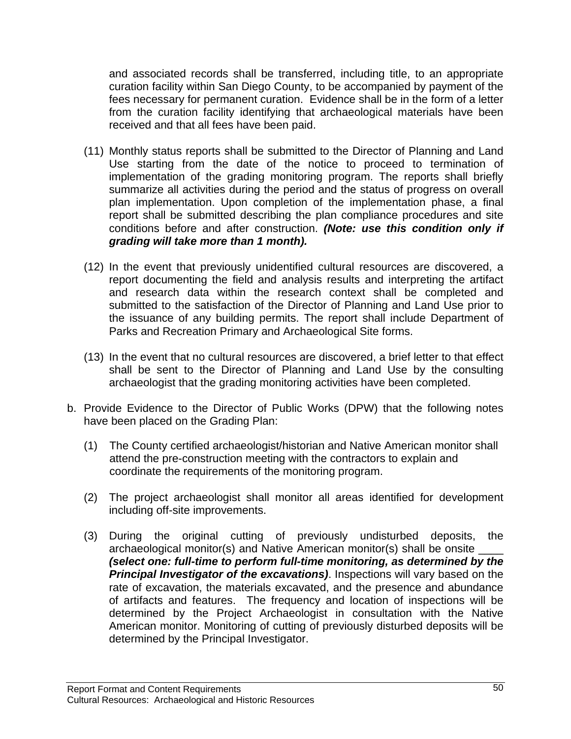and associated records shall be transferred, including title, to an appropriate curation facility within San Diego County, to be accompanied by payment of the fees necessary for permanent curation. Evidence shall be in the form of a letter from the curation facility identifying that archaeological materials have been received and that all fees have been paid.

- (11) Monthly status reports shall be submitted to the Director of Planning and Land Use starting from the date of the notice to proceed to termination of implementation of the grading monitoring program. The reports shall briefly summarize all activities during the period and the status of progress on overall plan implementation. Upon completion of the implementation phase, a final report shall be submitted describing the plan compliance procedures and site conditions before and after construction. *(Note: use this condition only if grading will take more than 1 month).*
- (12) In the event that previously unidentified cultural resources are discovered, a report documenting the field and analysis results and interpreting the artifact and research data within the research context shall be completed and submitted to the satisfaction of the Director of Planning and Land Use prior to the issuance of any building permits. The report shall include Department of Parks and Recreation Primary and Archaeological Site forms.
- (13) In the event that no cultural resources are discovered, a brief letter to that effect shall be sent to the Director of Planning and Land Use by the consulting archaeologist that the grading monitoring activities have been completed.
- b. Provide Evidence to the Director of Public Works (DPW) that the following notes have been placed on the Grading Plan:
	- (1) The County certified archaeologist/historian and Native American monitor shall attend the pre-construction meeting with the contractors to explain and coordinate the requirements of the monitoring program.
	- (2) The project archaeologist shall monitor all areas identified for development including off-site improvements.
	- (3) During the original cutting of previously undisturbed deposits, the archaeological monitor(s) and Native American monitor(s) shall be onsite \_\_\_\_ *(select one: full-time to perform full-time monitoring, as determined by the*  **Principal Investigator of the excavations)**. Inspections will vary based on the rate of excavation, the materials excavated, and the presence and abundance of artifacts and features. The frequency and location of inspections will be determined by the Project Archaeologist in consultation with the Native American monitor. Monitoring of cutting of previously disturbed deposits will be determined by the Principal Investigator.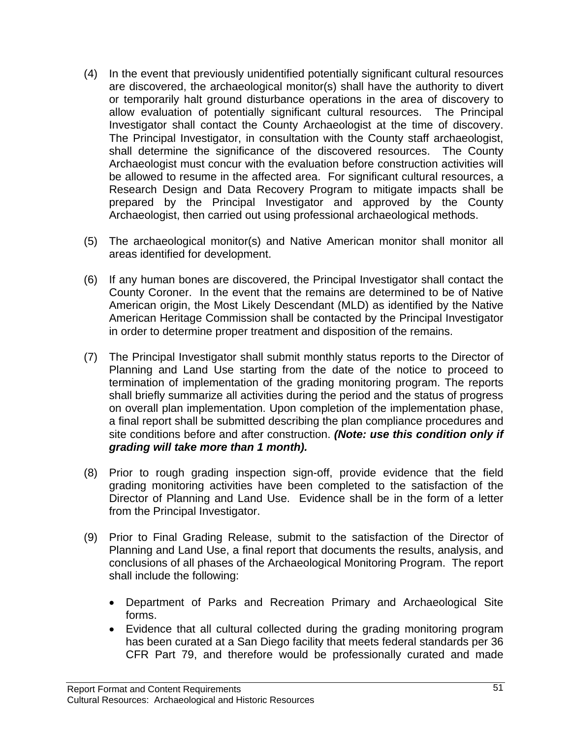- (4) In the event that previously unidentified potentially significant cultural resources are discovered, the archaeological monitor(s) shall have the authority to divert or temporarily halt ground disturbance operations in the area of discovery to allow evaluation of potentially significant cultural resources. The Principal Investigator shall contact the County Archaeologist at the time of discovery. The Principal Investigator, in consultation with the County staff archaeologist, shall determine the significance of the discovered resources. The County Archaeologist must concur with the evaluation before construction activities will be allowed to resume in the affected area. For significant cultural resources, a Research Design and Data Recovery Program to mitigate impacts shall be prepared by the Principal Investigator and approved by the County Archaeologist, then carried out using professional archaeological methods.
- (5) The archaeological monitor(s) and Native American monitor shall monitor all areas identified for development.
- (6) If any human bones are discovered, the Principal Investigator shall contact the County Coroner. In the event that the remains are determined to be of Native American origin, the Most Likely Descendant (MLD) as identified by the Native American Heritage Commission shall be contacted by the Principal Investigator in order to determine proper treatment and disposition of the remains.
- (7) The Principal Investigator shall submit monthly status reports to the Director of Planning and Land Use starting from the date of the notice to proceed to termination of implementation of the grading monitoring program. The reports shall briefly summarize all activities during the period and the status of progress on overall plan implementation. Upon completion of the implementation phase, a final report shall be submitted describing the plan compliance procedures and site conditions before and after construction. *(Note: use this condition only if grading will take more than 1 month).*
- (8) Prior to rough grading inspection sign-off, provide evidence that the field grading monitoring activities have been completed to the satisfaction of the Director of Planning and Land Use. Evidence shall be in the form of a letter from the Principal Investigator.
- (9) Prior to Final Grading Release, submit to the satisfaction of the Director of Planning and Land Use, a final report that documents the results, analysis, and conclusions of all phases of the Archaeological Monitoring Program. The report shall include the following:
	- Department of Parks and Recreation Primary and Archaeological Site forms.
	- Evidence that all cultural collected during the grading monitoring program has been curated at a San Diego facility that meets federal standards per 36 CFR Part 79, and therefore would be professionally curated and made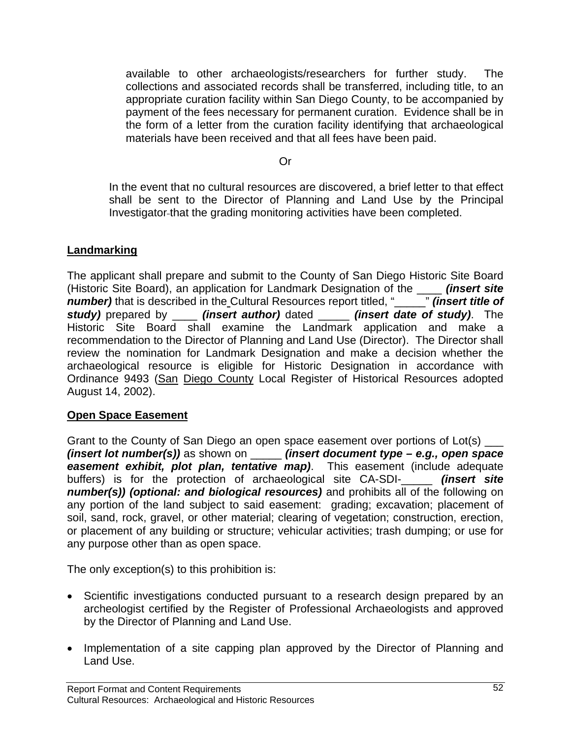available to other archaeologists/researchers for further study. The collections and associated records shall be transferred, including title, to an appropriate curation facility within San Diego County, to be accompanied by payment of the fees necessary for permanent curation. Evidence shall be in the form of a letter from the curation facility identifying that archaeological materials have been received and that all fees have been paid.

Or

In the event that no cultural resources are discovered, a brief letter to that effect shall be sent to the Director of Planning and Land Use by the Principal Investigator that the grading monitoring activities have been completed.

#### **Landmarking**

The applicant shall prepare and submit to the County of San Diego Historic Site Board (Historic Site Board), an application for Landmark Designation of the *\_\_\_\_ (insert site number)* that is described in the Cultural Resources report titled, "\_\_\_\_\_" *(insert title of number)* that is described in the Cultural Resources report titled, "\_\_\_\_\_ *study)* prepared by *(insert author)* dated *(insert date of study)*. The Historic Site Board shall examine the Landmark application and make a recommendation to the Director of Planning and Land Use (Director). The Director shall review the nomination for Landmark Designation and make a decision whether the archaeological resource is eligible for Historic Designation in accordance with Ordinance 9493 (San Diego County Local Register of Historical Resources adopted August 14, 2002).

## **Open Space Easement**

Grant to the County of San Diego an open space easement over portions of Lot(s)  $\equiv$ *(insert lot number(s))* as shown on \_\_\_\_\_ *(insert document type – e.g., open space easement exhibit, plot plan, tentative map)*. This easement (include adequate buffers) is for the protection of archaeological site CA-SDI-\_\_\_\_\_ *(insert site number(s)) (optional: and biological resources)* and prohibits all of the following on any portion of the land subject to said easement: grading; excavation; placement of soil, sand, rock, gravel, or other material; clearing of vegetation; construction, erection, or placement of any building or structure; vehicular activities; trash dumping; or use for any purpose other than as open space.

The only exception(s) to this prohibition is:

- Scientific investigations conducted pursuant to a research design prepared by an archeologist certified by the Register of Professional Archaeologists and approved by the Director of Planning and Land Use.
- Implementation of a site capping plan approved by the Director of Planning and Land Use.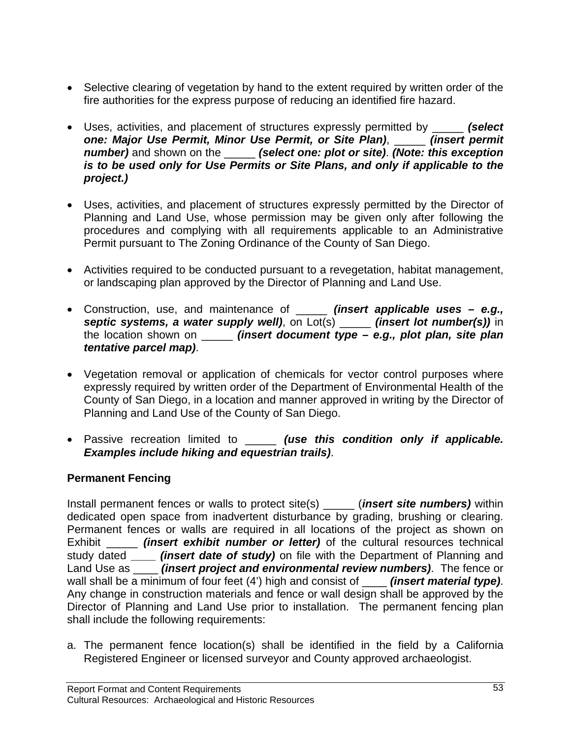- Selective clearing of vegetation by hand to the extent required by written order of the fire authorities for the express purpose of reducing an identified fire hazard.
- Uses, activities, and placement of structures expressly permitted by \_\_\_\_\_ *(select one: Major Use Permit, Minor Use Permit, or Site Plan)*, \_\_\_\_\_ *(insert permit number)* and shown on the \_\_\_\_\_ *(select one: plot or site)*. *(Note: this exception is to be used only for Use Permits or Site Plans, and only if applicable to the project.)*
- Uses, activities, and placement of structures expressly permitted by the Director of Planning and Land Use, whose permission may be given only after following the procedures and complying with all requirements applicable to an Administrative Permit pursuant to The Zoning Ordinance of the County of San Diego.
- Activities required to be conducted pursuant to a revegetation, habitat management, or landscaping plan approved by the Director of Planning and Land Use.
- Construction, use, and maintenance of \_\_\_\_\_ *(insert applicable uses e.g., septic systems, a water supply well)*, on Lot(s) \_\_\_\_\_ *(insert lot number(s))* in the location shown on \_\_\_\_\_ *(insert document type – e.g., plot plan, site plan tentative parcel map)*.
- Vegetation removal or application of chemicals for vector control purposes where expressly required by written order of the Department of Environmental Health of the County of San Diego, in a location and manner approved in writing by the Director of Planning and Land Use of the County of San Diego.
- Passive recreation limited to \_\_\_\_\_ *(use this condition only if applicable. Examples include hiking and equestrian trails)*.

## **Permanent Fencing**

Install permanent fences or walls to protect site(s) \_\_\_\_\_ (*insert site numbers)* within dedicated open space from inadvertent disturbance by grading, brushing or clearing. Permanent fences or walls are required in all locations of the project as shown on Exhibit \_\_\_\_\_ *(insert exhibit number or letter)* of the cultural resources technical study dated **\_\_\_\_** *(insert date of study)* on file with the Department of Planning and Land Use as \_\_\_\_ *(insert project and environmental review numbers)*. The fence or wall shall be a minimum of four feet (4') high and consist of *(insert material type)*. Any change in construction materials and fence or wall design shall be approved by the Director of Planning and Land Use prior to installation. The permanent fencing plan shall include the following requirements:

a. The permanent fence location(s) shall be identified in the field by a California Registered Engineer or licensed surveyor and County approved archaeologist.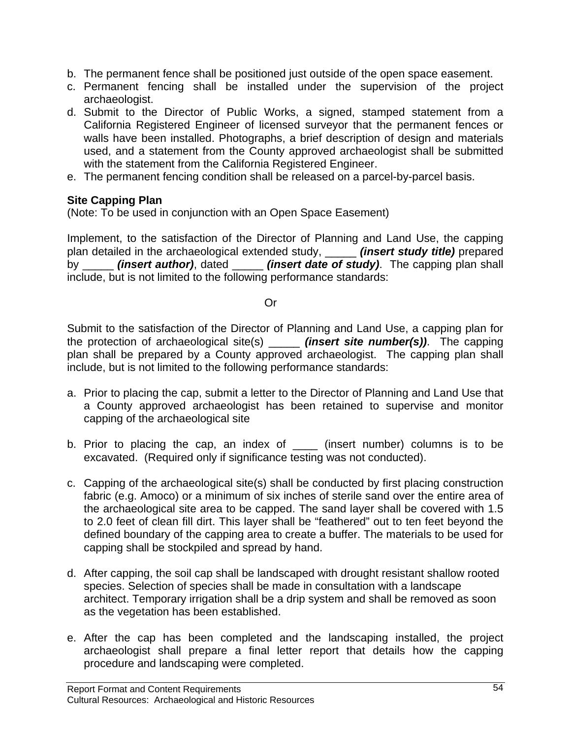- b. The permanent fence shall be positioned just outside of the open space easement.
- c. Permanent fencing shall be installed under the supervision of the project archaeologist.
- d. Submit to the Director of Public Works, a signed, stamped statement from a California Registered Engineer of licensed surveyor that the permanent fences or walls have been installed. Photographs, a brief description of design and materials used, and a statement from the County approved archaeologist shall be submitted with the statement from the California Registered Engineer.
- e. The permanent fencing condition shall be released on a parcel-by-parcel basis.

#### **Site Capping Plan**

(Note: To be used in conjunction with an Open Space Easement)

Implement, to the satisfaction of the Director of Planning and Land Use, the capping plan detailed in the archaeological extended study, \_\_\_\_\_ *(insert study title)* prepared by \_\_\_\_\_ *(insert author)*, dated \_\_\_\_\_ *(insert date of study)*. The capping plan shall include, but is not limited to the following performance standards:

#### Or

 Submit to the satisfaction of the Director of Planning and Land Use, a capping plan for the protection of archaeological site(s) \_\_\_\_\_ *(insert site number(s))*. The capping plan shall be prepared by a County approved archaeologist. The capping plan shall include, but is not limited to the following performance standards:

- a. Prior to placing the cap, submit a letter to the Director of Planning and Land Use that a County approved archaeologist has been retained to supervise and monitor capping of the archaeological site
- b. Prior to placing the cap, an index of \_\_\_\_\_ (insert number) columns is to be excavated. (Required only if significance testing was not conducted).
- c. Capping of the archaeological site(s) shall be conducted by first placing construction fabric (e.g. Amoco) or a minimum of six inches of sterile sand over the entire area of the archaeological site area to be capped. The sand layer shall be covered with 1.5 to 2.0 feet of clean fill dirt. This layer shall be "feathered" out to ten feet beyond the defined boundary of the capping area to create a buffer. The materials to be used for capping shall be stockpiled and spread by hand.
- d. After capping, the soil cap shall be landscaped with drought resistant shallow rooted species. Selection of species shall be made in consultation with a landscape architect. Temporary irrigation shall be a drip system and shall be removed as soon as the vegetation has been established.
- e. After the cap has been completed and the landscaping installed, the project archaeologist shall prepare a final letter report that details how the capping procedure and landscaping were completed.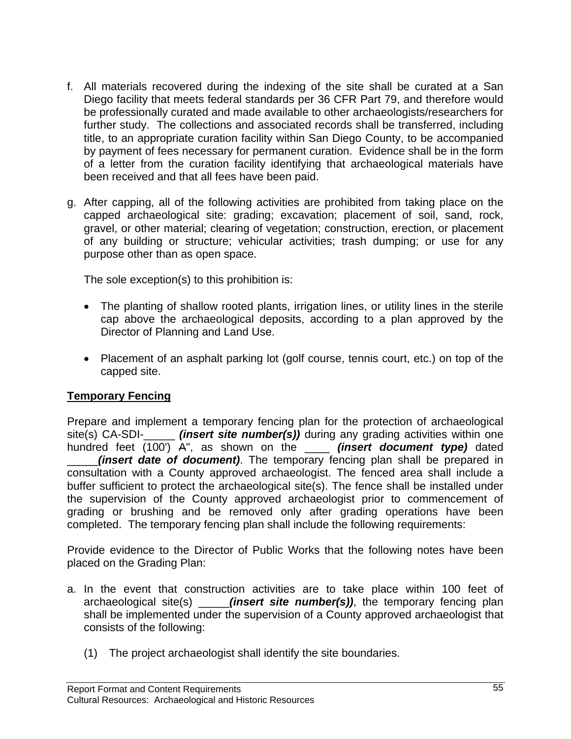- f. All materials recovered during the indexing of the site shall be curated at a San Diego facility that meets federal standards per 36 CFR Part 79, and therefore would be professionally curated and made available to other archaeologists/researchers for further study. The collections and associated records shall be transferred, including title, to an appropriate curation facility within San Diego County, to be accompanied by payment of fees necessary for permanent curation. Evidence shall be in the form of a letter from the curation facility identifying that archaeological materials have been received and that all fees have been paid.
- g. After capping, all of the following activities are prohibited from taking place on the capped archaeological site: grading; excavation; placement of soil, sand, rock, gravel, or other material; clearing of vegetation; construction, erection, or placement of any building or structure; vehicular activities; trash dumping; or use for any purpose other than as open space.

The sole exception(s) to this prohibition is:

- The planting of shallow rooted plants, irrigation lines, or utility lines in the sterile cap above the archaeological deposits, according to a plan approved by the Director of Planning and Land Use.
- Placement of an asphalt parking lot (golf course, tennis court, etc.) on top of the capped site.

## **Temporary Fencing**

Prepare and implement a temporary fencing plan for the protection of archaeological site(s) CA-SDI-\_\_\_\_\_ *(insert site number(s))* during any grading activities within one hundred feet (100') A", as shown on the \_\_\_\_ *(insert document type)* dated *(insert date of document)*. The temporary fencing plan shall be prepared in consultation with a County approved archaeologist. The fenced area shall include a buffer sufficient to protect the archaeological site(s). The fence shall be installed under the supervision of the County approved archaeologist prior to commencement of grading or brushing and be removed only after grading operations have been completed. The temporary fencing plan shall include the following requirements:

Provide evidence to the Director of Public Works that the following notes have been placed on the Grading Plan:

- a. In the event that construction activities are to take place within 100 feet of archaeological site(s) *(insert site number(s))*, the temporary fencing plan shall be implemented under the supervision of a County approved archaeologist that consists of the following:
	- (1) The project archaeologist shall identify the site boundaries.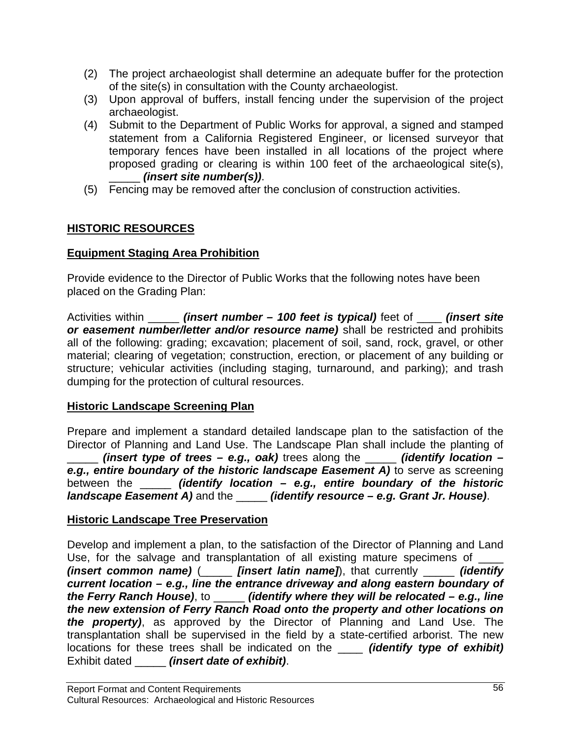- (2) The project archaeologist shall determine an adequate buffer for the protection of the site(s) in consultation with the County archaeologist.
- (3) Upon approval of buffers, install fencing under the supervision of the project archaeologist.
- (4) Submit to the Department of Public Works for approval, a signed and stamped statement from a California Registered Engineer, or licensed surveyor that temporary fences have been installed in all locations of the project where proposed grading or clearing is within 100 feet of the archaeological site(s), \_\_\_\_\_ *(insert site number(s))*.
- (5) Fencing may be removed after the conclusion of construction activities.

## **HISTORIC RESOURCES**

## **Equipment Staging Area Prohibition**

Provide evidence to the Director of Public Works that the following notes have been placed on the Grading Plan:

Activities within \_\_\_\_\_ *(insert number – 100 feet is typical)* feet of \_\_\_\_ *(insert site or easement number/letter and/or resource name)* shall be restricted and prohibits all of the following: grading; excavation; placement of soil, sand, rock, gravel, or other material; clearing of vegetation; construction, erection, or placement of any building or structure; vehicular activities (including staging, turnaround, and parking); and trash dumping for the protection of cultural resources.

## **Historic Landscape Screening Plan**

Prepare and implement a standard detailed landscape plan to the satisfaction of the Director of Planning and Land Use. The Landscape Plan shall include the planting of \_\_\_\_\_ *(insert type of trees – e.g., oak)* trees along the \_\_\_\_\_ *(identify location – e.g., entire boundary of the historic landscape Easement A)* to serve as screening between the \_\_\_\_\_ *(identify location – e.g., entire boundary of the historic landscape Easement A)* and the \_\_\_\_\_ *(identify resource – e.g. Grant Jr. House)*.

## **Historic Landscape Tree Preservation**

Develop and implement a plan, to the satisfaction of the Director of Planning and Land Use, for the salvage and transplantation of all existing mature specimens of *(insert common name)* (\_\_\_\_\_ *[insert latin name]*), that currently \_\_\_\_\_ *(identify current location – e.g., line the entrance driveway and along eastern boundary of the Ferry Ranch House)*, to \_\_\_\_\_ *(identify where they will be relocated – e.g., line the new extension of Ferry Ranch Road onto the property and other locations on the property)*, as approved by the Director of Planning and Land Use. The transplantation shall be supervised in the field by a state-certified arborist. The new locations for these trees shall be indicated on the \_\_\_\_ *(identify type of exhibit)* Exhibit dated \_\_\_\_\_ *(insert date of exhibit)*.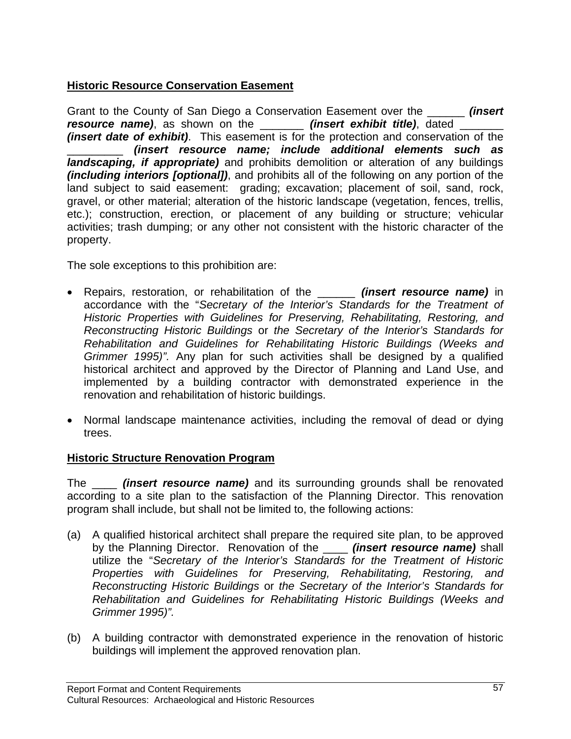## **Historic Resource Conservation Easement**

Grant to the County of San Diego a Conservation Easement over the \_\_\_\_\_\_ *(insert resource name)*, as shown on the *linsert exhibit title)*, dated *(insert date of exhibit)*. This easement is for the protection and conservation of the \_\_\_\_\_\_\_\_\_ *(insert resource name; include additional elements such as landscaping, if appropriate)* and prohibits demolition or alteration of any buildings *(including interiors [optional])*, and prohibits all of the following on any portion of the land subject to said easement: grading; excavation; placement of soil, sand, rock, gravel, or other material; alteration of the historic landscape (vegetation, fences, trellis, etc.); construction, erection, or placement of any building or structure; vehicular activities; trash dumping; or any other not consistent with the historic character of the property.

The sole exceptions to this prohibition are:

- Repairs, restoration, or rehabilitation of the \_\_\_\_\_\_ *(insert resource name)* in accordance with the "*Secretary of the Interior's Standards for the Treatment of Historic Properties with Guidelines for Preserving, Rehabilitating, Restoring, and Reconstructing Historic Buildings* or *the Secretary of the Interior's Standards for Rehabilitation and Guidelines for Rehabilitating Historic Buildings (Weeks and Grimmer 1995)".* Any plan for such activities shall be designed by a qualified historical architect and approved by the Director of Planning and Land Use, and implemented by a building contractor with demonstrated experience in the renovation and rehabilitation of historic buildings.
- Normal landscape maintenance activities, including the removal of dead or dying trees.

## **Historic Structure Renovation Program**

The \_\_\_\_ *(insert resource name)* and its surrounding grounds shall be renovated according to a site plan to the satisfaction of the Planning Director. This renovation program shall include, but shall not be limited to, the following actions:

- (a) A qualified historical architect shall prepare the required site plan, to be approved by the Planning Director. Renovation of the \_\_\_\_ *(insert resource name)* shall utilize the "*Secretary of the Interior's Standards for the Treatment of Historic Properties with Guidelines for Preserving, Rehabilitating, Restoring, and Reconstructing Historic Buildings* or *the Secretary of the Interior's Standards for Rehabilitation and Guidelines for Rehabilitating Historic Buildings (Weeks and Grimmer 1995)".*
- (b) A building contractor with demonstrated experience in the renovation of historic buildings will implement the approved renovation plan.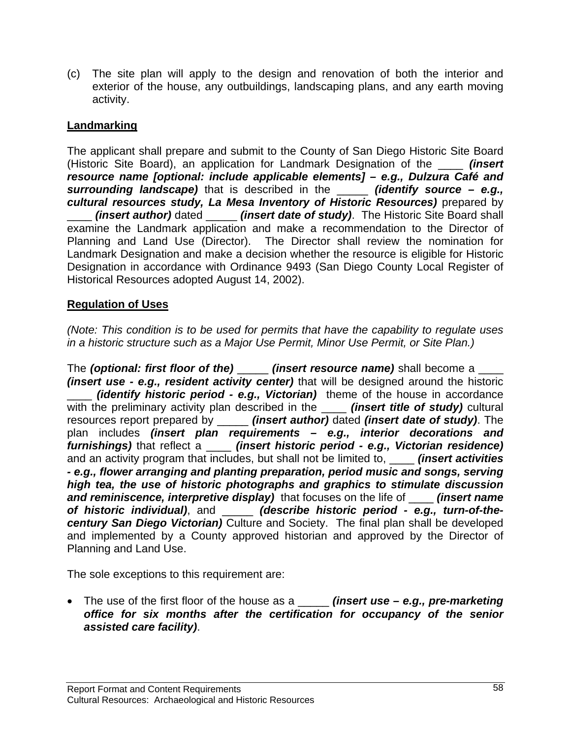(c) The site plan will apply to the design and renovation of both the interior and exterior of the house, any outbuildings, landscaping plans, and any earth moving activity.

## **Landmarking**

The applicant shall prepare and submit to the County of San Diego Historic Site Board (Historic Site Board), an application for Landmark Designation of the \_\_\_\_ *(insert resource name [optional: include applicable elements] – e.g., Dulzura Café and surrounding landscape)* that is described in the \_\_\_\_\_ *(identify source – e.g., cultural resources study, La Mesa Inventory of Historic Resources)* prepared by \_\_\_\_ *(insert author)* dated \_\_\_\_\_ *(insert date of study)*. The Historic Site Board shall examine the Landmark application and make a recommendation to the Director of Planning and Land Use (Director). The Director shall review the nomination for Landmark Designation and make a decision whether the resource is eligible for Historic Designation in accordance with Ordinance 9493 (San Diego County Local Register of Historical Resources adopted August 14, 2002).

## **Regulation of Uses**

*(Note: This condition is to be used for permits that have the capability to regulate uses in a historic structure such as a Major Use Permit, Minor Use Permit, or Site Plan.)*

The *(optional: first floor of the)* \_\_\_\_\_ *(insert resource name)* shall become a *(insert use - e.g., resident activity center)* that will be designed around the historic \_\_\_\_ *(identify historic period - e.g., Victorian)* theme of the house in accordance with the preliminary activity plan described in the **\_\_\_\_** *(insert title of study)* cultural resources report prepared by \_\_\_\_\_ *(insert author)* dated *(insert date of study)*. The plan includes *(insert plan requirements – e.g., interior decorations and furnishings)* that reflect a \_\_\_\_ *(insert historic period - e.g., Victorian residence)* and an activity program that includes, but shall not be limited to, \_\_\_\_ *(insert activities - e.g., flower arranging and planting preparation, period music and songs, serving high tea, the use of historic photographs and graphics to stimulate discussion and reminiscence, interpretive display)* that focuses on the life of \_\_\_\_ *(insert name of historic individual)*, and \_\_\_\_\_ *(describe historic period - e.g., turn-of-thecentury San Diego Victorian)* Culture and Society. The final plan shall be developed and implemented by a County approved historian and approved by the Director of Planning and Land Use.

The sole exceptions to this requirement are:

• The use of the first floor of the house as a \_\_\_\_\_ *(insert use – e.g., pre-marketing office for six months after the certification for occupancy of the senior assisted care facility)*.